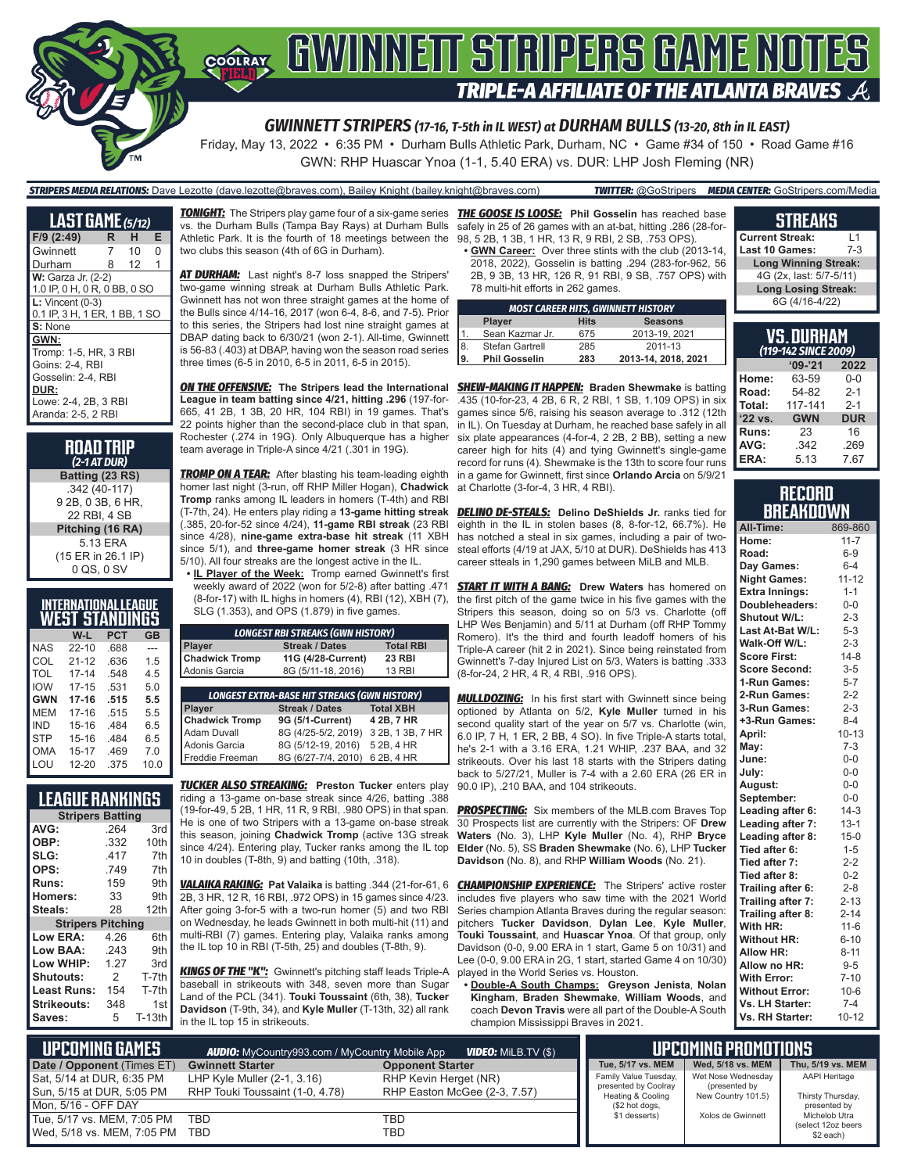

Friday, May 13, 2022 • 6:35 PM • Durham Bulls Athletic Park, Durham, NC • Game #34 of 150 • Road Game #16 GWN: RHP Huascar Ynoa (1-1, 5.40 ERA) vs. DUR: LHP Josh Fleming (NR)

#### *STRIPERS MEDIA RELATIONS:* Dave Lezotte (dave.lezotte@braves.com), Bailey Knight (bailey.knight@braves.com) *TWITTER:* @GoStripers *MEDIA CENTER:* GoStripers.com/Media

| <b>LAST GAME</b> (5/12)       |   |    |   |  |
|-------------------------------|---|----|---|--|
| F/9 (2:49)                    | R | н  | Е |  |
| Gwinnett                      | 7 | 10 | 0 |  |
| Durham                        | 8 | 12 | 1 |  |
| <b>W:</b> Garza Jr. (2-2)     |   |    |   |  |
| 1.0 IP, 0 H, 0 R, 0 BB, 0 SO  |   |    |   |  |
| $L:$ Vincent (0-3)            |   |    |   |  |
| 0.1 IP, 3 H, 1 ER, 1 BB, 1 SC |   |    |   |  |
| S: None                       |   |    |   |  |
| GWN:                          |   |    |   |  |
| Tromp: 1-5, HR, 3 RBI         |   |    |   |  |
| Goins: 2-4, RBI               |   |    |   |  |
| Gosselin: 2-4. RBI            |   |    |   |  |
| DUR:                          |   |    |   |  |
| Lowe: 2-4, 2B, 3 RBI          |   |    |   |  |
| Aranda: 2-5, 2 RBI            |   |    |   |  |

| <b>ROAD TRIP</b><br>$(2-1 AT DUR)$                 |
|----------------------------------------------------|
| Batting (23 RS)                                    |
| .342 (40-117)<br>9 2B, 0 3B, 6 HR,<br>22 RBI. 4 SB |
| Pitching (16 RA)                                   |
| 5.13 ERA                                           |
| (15 ER in 26.1 IP)<br>0 QS, 0 SV                   |

|  |  | INTERNATIONAL LEAGUE  |
|--|--|-----------------------|
|  |  | <b>WEST STANDINGS</b> |

| W-L       | PCT  | <b>GB</b> |
|-----------|------|-----------|
| $22 - 10$ | .688 | ---       |
| $21 - 12$ | .636 | 1.5       |
| $17 - 14$ | .548 | 4.5       |
| $17 - 15$ | .531 | 5.0       |
| $17-16$   | .515 | 5.5       |
| $17 - 16$ | .515 | 5.5       |
| 15-16     | .484 | 6.5       |
| 15-16     | .484 | 6.5       |
| $15 - 17$ | .469 | 7.0       |
| $12 - 20$ | .375 | 10.0      |
|           |      |           |

### **LEAGUE RANKINGS**

| <b>Stripers Batting</b>  |      |               |  |
|--------------------------|------|---------------|--|
| AVG:                     | .264 | 3rd           |  |
| OBP:                     | .332 | 10th          |  |
| SLG:                     | .417 | 7th           |  |
| OPS:                     | .749 | 7th           |  |
| <b>Runs:</b>             | 159  | 9th           |  |
| Homers:                  | 33   | 9th           |  |
| Steals:                  | 28   | 12th          |  |
| <b>Stripers Pitching</b> |      |               |  |
| <b>Low ERA:</b>          | 4.26 | 6th           |  |
| Low BAA:                 | .243 | 9th           |  |
| Low WHIP:                | 1.27 | 3rd           |  |
| Shutouts:                | 2    | T-7th         |  |
| <b>Least Runs:</b>       | 154  | T-7th         |  |
| Strikeouts:              | 348  | 1st           |  |
| Saves:                   | 5    | <b>T-13th</b> |  |

*TONIGHT:* The Stripers play game four of a six-game series *THE GOOSE IS LOOSE:* **Phil Gosselin** has reached base vs. the Durham Bulls (Tampa Bay Rays) at Durham Bulls Athletic Park. It is the fourth of 18 meetings between the two clubs this season (4th of 6G in Durham).

*AT DURHAM:* Last night's 8-7 loss snapped the Stripers' two-game winning streak at Durham Bulls Athletic Park. Gwinnett has not won three straight games at the home of the Bulls since 4/14-16, 2017 (won 6-4, 8-6, and 7-5). Prior to this series, the Stripers had lost nine straight games at DBAP dating back to 6/30/21 (won 2-1). All-time, Gwinnett is 56-83 (.403) at DBAP, having won the season road series three times (6-5 in 2010, 6-5 in 2011, 6-5 in 2015).

*ON THE OFFENSIVE:* **The Stripers lead the International**  *SHEW-MAKING IT HAPPEN:* **Braden Shewmake** is batting **League in team batting since 4/21, hitting .296** (197-for-665, 41 2B, 1 3B, 20 HR, 104 RBI) in 19 games. That's 22 points higher than the second-place club in that span, Rochester (.274 in 19G). Only Albuquerque has a higher team average in Triple-A since 4/21 (.301 in 19G).

**TROMP ON A TEAR:** After blasting his team-leading eighth homer last night (3-run, off RHP Miller Hogan), **Chadwick Tromp** ranks among IL leaders in homers (T-4th) and RBI (T-7th, 24). He enters play riding a **13-game hitting streak** (.385, 20-for-52 since 4/24), **11-game RBI streak** (23 RBI since 4/28), **nine-game extra-base hit streak** (11 XBH since 5/1), and **three-game homer streak** (3 HR since 5/10). All four streaks are the longest active in the IL.

**• IL Player of the Week:** Tromp earned Gwinnett's first weekly award of 2022 (won for 5/2-8) after batting .471 (8-for-17) with IL highs in homers (4), RBI (12), XBH (7), SLG (1.353), and OPS (1.879) in five games.

| <b>LONGEST RBI STREAKS (GWN HISTORY)</b>            |                       |                  |  |
|-----------------------------------------------------|-----------------------|------------------|--|
| Player                                              | <b>Streak / Dates</b> | <b>Total RBI</b> |  |
| <b>Chadwick Tromp</b>                               | 11G (4/28-Current)    | <b>23 RBI</b>    |  |
| Adonis Garcia                                       | 8G (5/11-18, 2016)    | <b>13 RBI</b>    |  |
|                                                     |                       |                  |  |
| <b>LONGEST EXTRA-BASE HIT STREAKS (GWN HISTORY)</b> |                       |                  |  |
| Player                                              | <b>Streak / Dates</b> | <b>Total XBH</b> |  |
| <b>Chadwick Tromp</b>                               | 9G (5/1-Current)      | 4 2B, 7 HR       |  |
| <b>Adam Duvall</b>                                  | 8G (4/25-5/2, 2019)   | 3 2B, 1 3B, 7 HR |  |
| Adonis Garcia                                       | 8G (5/12-19, 2016)    | 5 2B, 4 HR       |  |
| Freddie Freeman                                     | 8G (6/27-7/4, 2010)   | 6 2B, 4 HR       |  |

*TUCKER ALSO STREAKING:* **Preston Tucker** enters play riding a 13-game on-base streak since 4/26, batting .388 (19-for-49, 5 2B, 1 HR, 11 R, 9 RBI, .980 OPS) in that span. He is one of two Stripers with a 13-game on-base streak this season, joining **Chadwick Tromp** (active 13G streak since 4/24). Entering play, Tucker ranks among the IL top 10 in doubles (T-8th, 9) and batting (10th, .318).

*VALAIKA RAKING:* **Pat Valaika** is batting .344 (21-for-61, 6 2B, 3 HR, 12 R, 16 RBI, .972 OPS) in 15 games since 4/23. After going 3-for-5 with a two-run homer (5) and two RBI on Wednesday, he leads Gwinnett in both multi-hit (11) and multi-RBI (7) games. Entering play, Valaika ranks among the IL top 10 in RBI (T-5th, 25) and doubles (T-8th, 9).

*KINGS OF THE "K":* Gwinnett's pitching staff leads Triple-A baseball in strikeouts with 348, seven more than Sugar Land of the PCL (341). **Touki Toussaint** (6th, 38), **Tucker Davidson** (T-9th, 34), and **Kyle Muller** (T-13th, 32) all rank in the IL top 15 in strikeouts.

safely in 25 of 26 games with an at-bat, hitting .286 (28-for-98, 5 2B, 1 3B, 1 HR, 13 R, 9 RBI, 2 SB, .753 OPS).

**• GWN Career:** Over three stints with the club (2013-14, 2018, 2022), Gosselin is batting .294 (283-for-962, 56 2B, 9 3B, 13 HR, 126 R, 91 RBI, 9 SB, .757 OPS) with 78 multi-hit efforts in 262 games.

| <b>MOST CAREER HITS, GWINNETT HISTORY</b> |                      |             |                     |  |
|-------------------------------------------|----------------------|-------------|---------------------|--|
|                                           | <b>Player</b>        | <b>Hits</b> | <b>Seasons</b>      |  |
| $\mathbf{1}$                              | Sean Kazmar Jr.      | 675         | 2013-19, 2021       |  |
| 8                                         | Stefan Gartrell      | 285         | 2011-13             |  |
| 9.                                        | <b>Phil Gosselin</b> | 283         | 2013-14, 2018, 2021 |  |

.435 (10-for-23, 4 2B, 6 R, 2 RBI, 1 SB, 1.109 OPS) in six games since 5/6, raising his season average to .312 (12th in IL). On Tuesday at Durham, he reached base safely in all six plate appearances (4-for-4, 2 2B, 2 BB), setting a new career high for hits (4) and tying Gwinnett's single-game record for runs (4). Shewmake is the 13th to score four runs in a game for Gwinnett, first since **Orlando Arcia** on 5/9/21 at Charlotte (3-for-4, 3 HR, 4 RBI).

**DELINO DE-STEALS:** Delino DeShields Jr. ranks tied for eighth in the IL in stolen bases (8, 8-for-12, 66.7%). He has notched a steal in six games, including a pair of twosteal efforts (4/19 at JAX, 5/10 at DUR). DeShields has 413 career stteals in 1,290 games between MiLB and MLB.

**START IT WITH A BANG:** Drew Waters has homered on the first pitch of the game twice in his five games with the Stripers this season, doing so on 5/3 vs. Charlotte (off LHP Wes Benjamin) and 5/11 at Durham (off RHP Tommy Romero). It's the third and fourth leadoff homers of his Triple-A career (hit 2 in 2021). Since being reinstated from Gwinnett's 7-day Injured List on 5/3, Waters is batting .333 (8-for-24, 2 HR, 4 R, 4 RBI, .916 OPS).

**MULLDOZING:** In his first start with Gwinnett since being optioned by Atlanta on 5/2, **Kyle Muller** turned in his second quality start of the year on 5/7 vs. Charlotte (win, 6.0 IP, 7 H, 1 ER, 2 BB, 4 SO). In five Triple-A starts total, he's 2-1 with a 3.16 ERA, 1.21 WHIP, .237 BAA, and 32 strikeouts. Over his last 18 starts with the Stripers dating back to 5/27/21, Muller is 7-4 with a 2.60 ERA (26 ER in 90.0 IP), .210 BAA, and 104 strikeouts.

**PROSPECTING:** Six members of the MLB.com Braves Top 30 Prospects list are currently with the Stripers: OF **Drew Waters** (No. 3), LHP **Kyle Muller** (No. 4), RHP **Bryce Elder** (No. 5), SS **Braden Shewmake** (No. 6), LHP **Tucker Davidson** (No. 8), and RHP **William Woods** (No. 21).

**CHAMPIONSHIP EXPERIENCE:** The Stripers' active roster includes five players who saw time with the 2021 World Series champion Atlanta Braves during the regular season: pitchers **Tucker Davidson**, **Dylan Lee**, **Kyle Muller**, **Touki Toussaint**, and **Huascar Ynoa**. Of that group, only Davidson (0-0, 9.00 ERA in 1 start, Game 5 on 10/31) and Lee (0-0, 9.00 ERA in 2G, 1 start, started Game 4 on 10/30) played in the World Series vs. Houston.

**• Double-A South Champs: Greyson Jenista**, **Nolan Kingham**, **Braden Shewmake**, **William Woods**, and coach **Devon Travis** were all part of the Double-A South champion Mississippi Braves in 2021.

# **STREAKS**

| <b>Current Streak:</b>      | l 1     |  |
|-----------------------------|---------|--|
| <b>Last 10 Games:</b>       | $7 - 3$ |  |
| <b>Long Winning Streak:</b> |         |  |
| 4G (2x, last: 5/7-5/11)     |         |  |
| <b>Long Losing Streak:</b>  |         |  |
| 6G (4/16-4/22)              |         |  |

| VS. DURHAM<br>(119-142 SINCE 2009) |            |            |  |
|------------------------------------|------------|------------|--|
|                                    | $9 - 21$   | 2022       |  |
| Home:                              | 63-59      | $0 - 0$    |  |
| Road:                              | 54-82      | $2 - 1$    |  |
| Total:                             | 117-141    | $2 - 1$    |  |
| '22 vs.                            | <b>GWN</b> | <b>DUR</b> |  |
| Runs:                              | 23         | 16         |  |
| AVG:                               | .342       | .269       |  |
| ERA:                               | 5.13       | 7.67       |  |

#### **RECORD BREAKDOWN**

| All-Time:             | 869-860   |
|-----------------------|-----------|
| Home:                 | $11 - 7$  |
| Road:                 | $6-9$     |
| Day Games:            | $6 - 4$   |
| <b>Night Games:</b>   | $11 - 12$ |
| <b>Extra Innings:</b> | $1 - 1$   |
| Doubleheaders:        | $0-0$     |
| Shutout W/L:          | $2 - 3$   |
| Last At-Bat W/L:      | $5-3$     |
| Walk-Off W/L:         | $2 - 3$   |
| <b>Score First:</b>   | $14-8$    |
| <b>Score Second:</b>  | $3 - 5$   |
| 1-Run Games:          | $5 - 7$   |
| 2-Run Games:          | $2 - 2$   |
| 3-Run Games:          | $2 - 3$   |
| +3-Run Games:         | $8 - 4$   |
| April:                | $10 - 13$ |
| May:                  | $7-3$     |
| June:                 | 0-0       |
| July:                 | $0-0$     |
| August:               | $0-0$     |
| September:            | $0-0$     |
| Leading after 6:      | $14-3$    |
| Leading after 7:      | $13 - 1$  |
| Leading after 8:      | $15 - 0$  |
| Tied after 6:         | $1 - 5$   |
| Tied after 7:         | $2 - 2$   |
| Tied after 8:         | $0 - 2$   |
| Trailing after 6:     | $2 - 8$   |
| Trailing after 7:     | $2 - 13$  |
| Trailing after 8:     | $2 - 14$  |
| With HR:              | $11 - 6$  |
| <b>Without HR:</b>    | $6 - 10$  |
| <b>Allow HR:</b>      | $8 - 11$  |
| Allow no HR:          | $9-5$     |
| <b>With Error:</b>    | $7 - 10$  |
| <b>Without Error:</b> | $10-6$    |
| Vs. LH Starter:       | $7-4$     |
| Vs. RH Starter:       | $10 - 12$ |

| L UPCOMING GAMES I<br><b>AUDIO:</b> MyCountry993.com / MyCountry Mobile App<br><b>VIDEO:</b> MILB.TV (\$) |                                 | <b>UPCOMING PROMOTIONS</b>   |                                           |                                     |                                     |
|-----------------------------------------------------------------------------------------------------------|---------------------------------|------------------------------|-------------------------------------------|-------------------------------------|-------------------------------------|
| Date / Opponent (Times ET)                                                                                | <b>Gwinnett Starter</b>         | <b>Opponent Starter</b>      | Tue, 5/17 vs. MEM                         | Wed. 5/18 vs. MEM                   | Thu, 5/19 vs. MEM                   |
| Sat, 5/14 at DUR, 6:35 PM                                                                                 | LHP Kyle Muller $(2-1, 3.16)$   | RHP Kevin Herget (NR)        | Family Value Tuesday,                     | Wet Nose Wednesdav                  | AAPI Heritage                       |
| Sun, 5/15 at DUR, 5:05 PM                                                                                 | RHP Touki Toussaint (1-0, 4.78) | RHP Easton McGee (2-3, 7.57) | presented by Coolray<br>Heating & Cooling | (presented by<br>New Country 101.5) | Thirsty Thursday,                   |
| Mon. 5/16 - OFF DAY                                                                                       |                                 |                              | (\$2 hot dogs,                            |                                     | presented by                        |
| Tue, 5/17 vs. MEM, 7:05 PM                                                                                | <b>TBD</b>                      | TBD                          | \$1 desserts)                             | Xolos de Gwinnett                   | Michelob Utra<br>(select 12oz beers |
| Wed, 5/18 vs. MEM, 7:05 PM                                                                                | TBD                             | TBD                          |                                           |                                     | \$2 each)                           |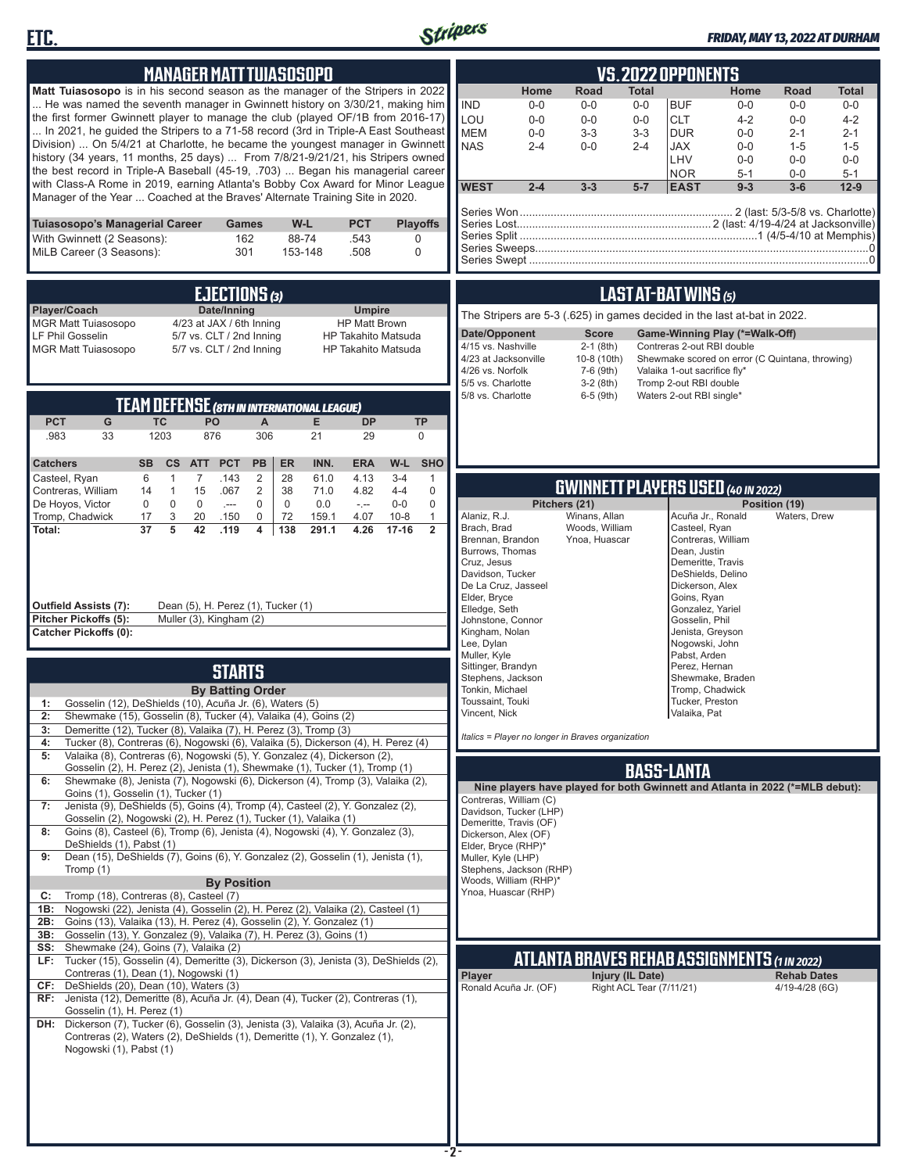



# *FRIDAY, MAY 13, 2022 AT DURHAM*

| <b>MANAGER MATT TUIASOSOPO</b>                                                                                                                                                                                                                                                                                                                                                                                                                                                                                                                                                                                                                                                                                                                                | <b>VS.2022 OPPONENTS</b>                                                                                                                                                                                                                                                                                                                                                                                                                                                                                                                                                                                  |
|---------------------------------------------------------------------------------------------------------------------------------------------------------------------------------------------------------------------------------------------------------------------------------------------------------------------------------------------------------------------------------------------------------------------------------------------------------------------------------------------------------------------------------------------------------------------------------------------------------------------------------------------------------------------------------------------------------------------------------------------------------------|-----------------------------------------------------------------------------------------------------------------------------------------------------------------------------------------------------------------------------------------------------------------------------------------------------------------------------------------------------------------------------------------------------------------------------------------------------------------------------------------------------------------------------------------------------------------------------------------------------------|
| Matt Tuiasosopo is in his second season as the manager of the Stripers in 2022<br>He was named the seventh manager in Gwinnett history on 3/30/21, making him<br>the first former Gwinnett player to manage the club (played OF/1B from 2016-17)<br>In 2021, he guided the Stripers to a 71-58 record (3rd in Triple-A East Southeast<br>Division)  On 5/4/21 at Charlotte, he became the youngest manager in Gwinnett<br>history (34 years, 11 months, 25 days)  From 7/8/21-9/21/21, his Stripers owned<br>the best record in Triple-A Baseball (45-19, .703)  Began his managerial career<br>with Class-A Rome in 2019, earning Atlanta's Bobby Cox Award for Minor League<br>Manager of the Year  Coached at the Braves' Alternate Training Site in 2020. | Road<br><b>Total</b><br>Home<br>Home<br>Road<br><b>Total</b><br><b>IND</b><br>$0 - 0$<br>$0-0$<br>$0-0$<br><b>BUF</b><br>$0 - 0$<br>$0 - 0$<br>$0-0$<br>LOU<br><b>CLT</b><br>$0-0$<br>$0 - 0$<br>$0-0$<br>$4 - 2$<br>$0 - 0$<br>$4 - 2$<br><b>MEM</b><br>$0-0$<br>$3-3$<br>$3-3$<br><b>DUR</b><br>$0 - 0$<br>$2 - 1$<br>$2 - 1$<br><b>NAS</b><br>$2 - 4$<br>$0 - 0$<br><b>JAX</b><br>$2 - 4$<br>$0-0$<br>$1 - 5$<br>$1 - 5$<br>LHV<br>$0 - 0$<br>$0-0$<br>$0-0$<br><b>NOR</b><br>$5 - 1$<br>$5 - 1$<br>$0-0$<br><b>WEST</b><br>$2 - 4$<br><b>EAST</b><br>$9 - 3$<br>$3 - 3$<br>$5-7$<br>$3-6$<br>$12 - 9$ |
| W-L<br>Tuiasosopo's Managerial Career<br><b>PCT</b><br><b>Playoffs</b><br>Games<br>With Gwinnett (2 Seasons):<br>162<br>88-74<br>.543<br>0<br>MiLB Career (3 Seasons):<br>301<br>153-148<br>.508<br>0                                                                                                                                                                                                                                                                                                                                                                                                                                                                                                                                                         |                                                                                                                                                                                                                                                                                                                                                                                                                                                                                                                                                                                                           |
| EJECTIONS (3)<br>Player/Coach<br>Date/Inning<br><b>Umpire</b><br><b>MGR Matt Tuiasosopo</b><br>4/23 at JAX / 6th Inning<br><b>HP Matt Brown</b><br>LF Phil Gosselin<br>5/7 vs. CLT / 2nd Inning<br>HP Takahito Matsuda<br>5/7 vs. CLT / 2nd Inning<br><b>MGR Matt Tuiasosopo</b><br><b>HP Takahito Matsuda</b>                                                                                                                                                                                                                                                                                                                                                                                                                                                | <b>LAST AT-BAT WINS (5)</b><br>The Stripers are 5-3 (.625) in games decided in the last at-bat in 2022.<br>Date/Opponent<br><b>Score</b><br>Game-Winning Play (*=Walk-Off)<br>4/15 vs. Nashville<br>$2-1$ (8th)<br>Contreras 2-out RBI double<br>4/23 at Jacksonville<br>10-8 (10th)<br>Shewmake scored on error (C Quintana, throwing)<br>4/26 vs. Norfolk<br>7-6 (9th)<br>Valaika 1-out sacrifice fly*<br>5/5 vs. Charlotte<br>$3-2(8th)$<br>Tromp 2-out RBI double<br>5/8 vs. Charlotte<br>6-5 (9th)<br>Waters 2-out RBI single*                                                                       |
| <b>TEAM DEFENSE (8TH IN INTERNATIONAL LEAGUE)</b><br><b>PCT</b><br>G<br><b>TC</b><br><b>PO</b><br>Е<br><b>DP</b><br><b>TP</b><br>A<br>.983<br>33<br>1203<br>876<br>306<br>21<br>29<br>$\mathbf 0$<br><b>SHO</b><br><b>SB</b><br><b>PCT</b><br><b>PB</b><br>ER<br>INN.<br><b>ERA</b><br>W-L<br><b>Catchers</b><br>cs<br><b>ATT</b><br>6<br>$\mathbf{1}$<br>$\overline{7}$<br>.143<br>$\overline{2}$<br>28<br>61.0<br>$3 - 4$<br>Casteel, Ryan<br>4.13<br>1                                                                                                                                                                                                                                                                                                     |                                                                                                                                                                                                                                                                                                                                                                                                                                                                                                                                                                                                           |
| $\overline{2}$<br>$\mathsf 0$<br>Contreras, William<br>$\overline{1}$<br>15<br>.067<br>38<br>71.0<br>4.82<br>$4 - 4$<br>14<br>$\mathbf 0$<br>$\mathbf 0$<br>$\mathbf 0$<br>$0-0$<br>$\mathbf 0$<br>De Hoyos, Victor<br>$\mathbf 0$<br>$\mathbf 0$<br>0.0<br>$-$<br>$\sim$<br>Tromp, Chadwick<br>17<br>3<br>20<br>$\mathbf 0$<br>72<br>159.1<br>4.07<br>$10 - 8$<br>$\mathbf{1}$<br>.150<br>$\overline{37}$<br>5<br>42<br>$\overline{2}$<br>Total:<br>.119<br>4<br>138<br>291.1<br>4.26<br>$17 - 16$<br>Outfield Assists (7):<br>Dean (5), H. Perez (1), Tucker (1)                                                                                                                                                                                            | <b>GWINNETT PLAYERS USED (40 IN 2022)</b><br>Pitchers (21)<br>Position (19)<br>Alaniz, R.J.<br>Winans, Allan<br>Acuña Jr., Ronald<br>Waters, Drew<br>Brach, Brad<br>Woods, William<br>Casteel, Ryan<br>Brennan, Brandon<br>Ynoa, Huascar<br>Contreras, William<br>Burrows, Thomas<br>Dean, Justin<br>Cruz, Jesus<br>Demeritte, Travis<br>Davidson, Tucker<br>DeShields, Delino<br>De La Cruz, Jasseel<br>Dickerson, Alex<br>Elder, Bryce<br>Goins, Ryan<br>Elledge, Seth<br>Gonzalez, Yariel                                                                                                              |
| Pitcher Pickoffs (5):<br>Muller (3), Kingham (2)<br><b>Catcher Pickoffs (0):</b><br><b>STARTS</b><br><b>By Batting Order</b><br>Gosselin (12), DeShields (10), Acuña Jr. (6), Waters (5)<br>1:<br>Shewmake (15), Gosselin (8), Tucker (4), Valaika (4), Goins (2)<br>2:<br>Demeritte (12), Tucker (8), Valaika (7), H. Perez (3), Tromp (3)<br>3:<br>Tucker (8), Contreras (6), Nogowski (6), Valaika (5), Dickerson (4), H. Perez (4)<br>4:                                                                                                                                                                                                                                                                                                                  | Johnstone, Connor<br>Gosselin, Phil<br>Kingham, Nolan<br>Jenista, Greyson<br>Lee, Dylan<br>Nogowski, John<br>Muller, Kyle<br>Pabst, Arden<br>Sittinger, Brandyn<br>Perez, Hernan<br>Stephens, Jackson<br>Shewmake, Braden<br>Tonkin, Michael<br>Tromp, Chadwick<br>Toussaint, Touki<br>Tucker, Preston<br>Valaika, Pat<br>Vincent, Nick<br>Italics = Player no longer in Braves organization                                                                                                                                                                                                              |
| Valaika (8), Contreras (6), Nogowski (5), Y. Gonzalez (4), Dickerson (2),<br>5:<br>Gosselin (2), H. Perez (2), Jenista (1), Shewmake (1), Tucker (1), Tromp (1)<br>Shewmake (8), Jenista (7), Nogowski (6), Dickerson (4), Tromp (3), Valaika (2),<br>6:<br>Goins (1), Gosselin (1), Tucker (1)                                                                                                                                                                                                                                                                                                                                                                                                                                                               | <b>BASS-LANTA</b><br>Nine players have played for both Gwinnett and Atlanta in 2022 (*=MLB debut):<br>Contreras, William (C)                                                                                                                                                                                                                                                                                                                                                                                                                                                                              |
| Jenista (9), DeShields (5), Goins (4), Tromp (4), Casteel (2), Y. Gonzalez (2),<br>7:<br>Gosselin (2), Nogowski (2), H. Perez (1), Tucker (1), Valaika (1)<br>Goins (8), Casteel (6), Tromp (6), Jenista (4), Nogowski (4), Y. Gonzalez (3),<br>8:<br>DeShields (1), Pabst (1)<br>Dean (15), DeShields (7), Goins (6), Y. Gonzalez (2), Gosselin (1), Jenista (1),<br>9:<br>Tromp (1)<br><b>By Position</b><br>Tromp (18), Contreras (8), Casteel (7)<br>C:<br>Nogowski (22), Jenista (4), Gosselin (2), H. Perez (2), Valaika (2), Casteel (1)<br>1B:<br>Goins (13), Valaika (13), H. Perez (4), Gosselin (2), Y. Gonzalez (1)<br>2B:<br>Gosselin (13), Y. Gonzalez (9), Valaika (7), H. Perez (3), Goins (1)<br>3B:                                         | Davidson, Tucker (LHP)<br>Demeritte, Travis (OF)<br>Dickerson, Alex (OF)<br>Elder, Bryce (RHP)*<br>Muller, Kyle (LHP)<br>Stephens, Jackson (RHP)<br>Woods, William (RHP)*<br>Ynoa, Huascar (RHP)                                                                                                                                                                                                                                                                                                                                                                                                          |
| Shewmake (24), Goins (7), Valaika (2)<br>SS:<br>Tucker (15), Gosselin (4), Demeritte (3), Dickerson (3), Jenista (3), DeShields (2),<br>LF:<br>Contreras (1), Dean (1), Nogowski (1)<br>DeShields (20), Dean (10), Waters (3)<br>CF:<br>RF: Jenista (12), Demeritte (8), Acuña Jr. (4), Dean (4), Tucker (2), Contreras (1),<br>Gosselin (1), H. Perez (1)<br>DH: Dickerson (7), Tucker (6), Gosselin (3), Jenista (3), Valaika (3), Acuña Jr. (2),<br>Contreras (2), Waters (2), DeShields (1), Demeritte (1), Y. Gonzalez (1),<br>Nogowski (1), Pabst (1)                                                                                                                                                                                                   | <b>ATLANTA BRAVES REHAB ASSIGNMENTS (1 IN 2022)</b><br>Injury (IL Date)<br>Player<br><b>Rehab Dates</b><br>Ronald Acuña Jr. (OF)<br>Right ACL Tear (7/11/21)<br>4/19-4/28 (6G)                                                                                                                                                                                                                                                                                                                                                                                                                            |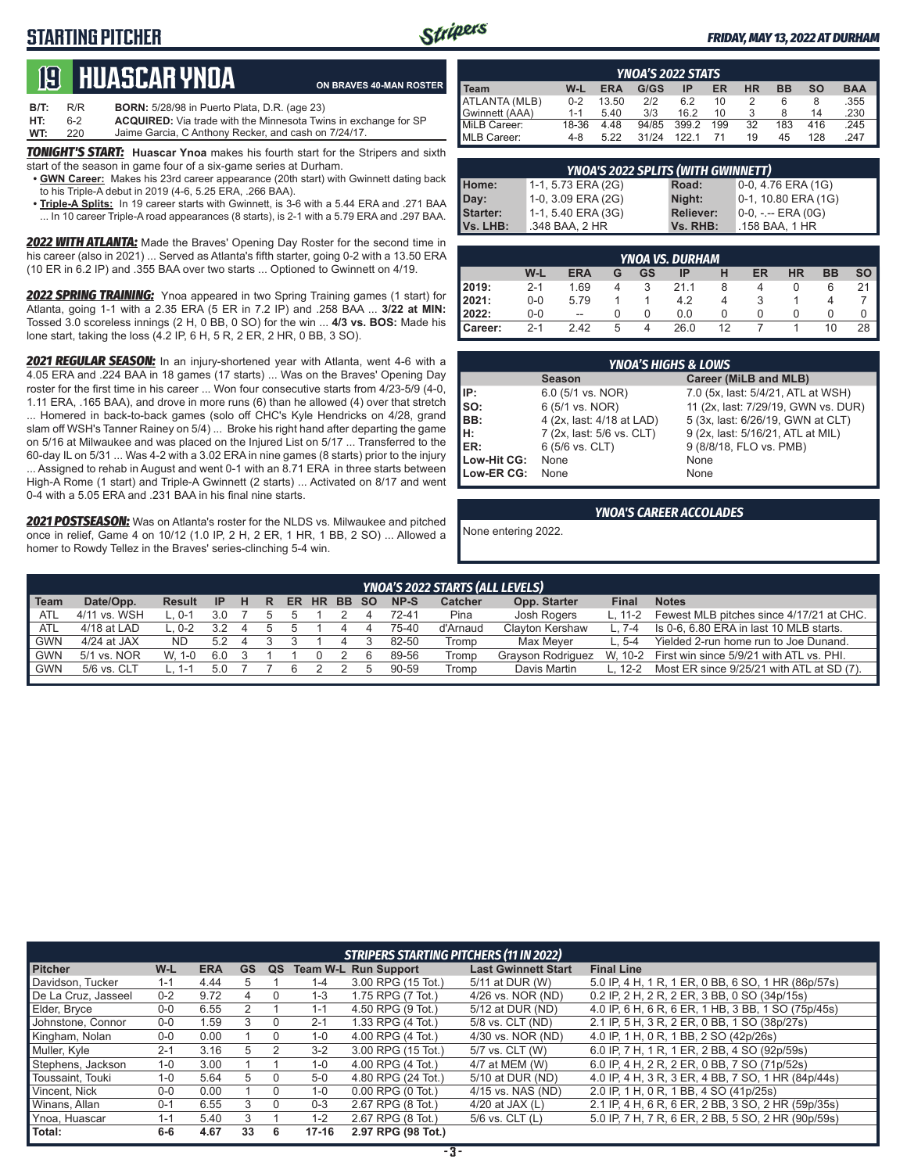## **STARTING PITCHER**



#### *FRIDAY, MAY 13, 2022 AT DURHAM*

# **19****Huascar ynoa**

**ON BRAVES 40-MAN ROSTER**

**B/T:** R/R **BORN:** 5/28/98 in Puerto Plata, D.R. (age 23)<br>**HT:** 6-2 **ACQUIRED:** Via trade with the Minnesota Twi 6-2 **ACQUIRED:** Via trade with the Minnesota Twins in exchange for SP<br>220 Jaime Garcia, C Anthony Recker, and cash on 7/24/17. **WT:** 220 Jaime Garcia, C Anthony Recker, and cash on 7/24/17.

*TONIGHT'S START:* **Huascar Ynoa** makes his fourth start for the Stripers and sixth start of the season in game four of a six-game series at Durham.

- **• GWN Career:** Makes his 23rd career appearance (20th start) with Gwinnett dating back to his Triple-A debut in 2019 (4-6, 5.25 ERA, .266 BAA).
- **• Triple-A Splits:** In 19 career starts with Gwinnett, is 3-6 with a 5.44 ERA and .271 BAA ... In 10 career Triple-A road appearances (8 starts), is 2-1 with a 5.79 ERA and .297 BAA.

*2022 WITH ATLANTA:* Made the Braves' Opening Day Roster for the second time in his career (also in 2021) ... Served as Atlanta's fifth starter, going 0-2 with a 13.50 ERA (10 ER in 6.2 IP) and .355 BAA over two starts ... Optioned to Gwinnett on 4/19.

*2022 SPRING TRAINING:* Ynoa appeared in two Spring Training games (1 start) for Atlanta, going 1-1 with a 2.35 ERA (5 ER in 7.2 IP) and .258 BAA ... **3/22 at MIN:** Tossed 3.0 scoreless innings (2 H, 0 BB, 0 SO) for the win ... **4/3 vs. BOS:** Made his lone start, taking the loss (4.2 IP, 6 H, 5 R, 2 ER, 2 HR, 0 BB, 3 SO).

*2021 REGULAR SEASON:* In an injury-shortened year with Atlanta, went 4-6 with a 4.05 ERA and .224 BAA in 18 games (17 starts) ... Was on the Braves' Opening Day roster for the first time in his career ... Won four consecutive starts from 4/23-5/9 (4-0, 1.11 ERA, .165 BAA), and drove in more runs (6) than he allowed (4) over that stretch ... Homered in back-to-back games (solo off CHC's Kyle Hendricks on 4/28, grand slam off WSH's Tanner Rainey on 5/4) ... Broke his right hand after departing the game on 5/16 at Milwaukee and was placed on the Injured List on 5/17 ... Transferred to the 60-day IL on 5/31 ... Was 4-2 with a 3.02 ERA in nine games (8 starts) prior to the injury ... Assigned to rehab in August and went 0-1 with an 8.71 ERA in three starts between High-A Rome (1 start) and Triple-A Gwinnett (2 starts) ... Activated on 8/17 and went 0-4 with a 5.05 ERA and .231 BAA in his final nine starts.

*2021 POSTSEASON:* Was on Atlanta's roster for the NLDS vs. Milwaukee and pitched once in relief, Game 4 on 10/12 (1.0 IP, 2 H, 2 ER, 1 HR, 1 BB, 2 SO) ... Allowed a homer to Rowdy Tellez in the Braves' series-clinching 5-4 win.

| <b>YNOA'S 2022 STATS</b> |         |            |       |       |     |           |     |           |            |  |
|--------------------------|---------|------------|-------|-------|-----|-----------|-----|-----------|------------|--|
| <b>I</b> Team            | W-L     | <b>ERA</b> | G/GS  | ΙP    | ER  | <b>HR</b> | вв  | <b>SO</b> | <b>BAA</b> |  |
| ATLANTA (MLB)            | $0 - 2$ | 13.50      | 212   | 6.2   | 10  |           | 6   | 8         | .355       |  |
| Gwinnett (AAA)           | $1 - 1$ | 5.40       | 3/3   | 16.2  | 10  |           |     | 14        | .230       |  |
| MiLB Career:             | 18-36   | 4.48       | 94/85 | 399.2 | 199 | 32        | 183 | 416       | .245       |  |
| MLB Career:              | 4-8     | 5.22       | 31/24 | 1221  |     | 19        | 45  | 128       | .247       |  |

| <b>YNOA'S 2022 SPLITS (WITH GWINNETT)</b> |                    |                  |                       |  |  |  |  |  |  |
|-------------------------------------------|--------------------|------------------|-----------------------|--|--|--|--|--|--|
| Home:                                     | 1-1, 5.73 ERA (2G) | Road:            | $0-0$ , 4.76 ERA (1G) |  |  |  |  |  |  |
| Day:                                      | 1-0, 3.09 ERA (2G) | Night:           | 0-1, 10.80 ERA (1G)   |  |  |  |  |  |  |
| <b>Starter:</b>                           | 1-1, 5.40 ERA (3G) | <b>Reliever:</b> | $0-0, - -$ ERA $(0G)$ |  |  |  |  |  |  |
| Vs. LHB:                                  | .348 BAA, 2 HR     | Vs. RHB:         | .158 BAA. 1 HR        |  |  |  |  |  |  |

| <b>YNOA VS. DURHAM</b> |         |                          |   |    |      |              |    |           |           |           |  |
|------------------------|---------|--------------------------|---|----|------|--------------|----|-----------|-----------|-----------|--|
|                        | W-L     | <b>ERA</b>               | G | GS | IP   | н            | ER | <b>HR</b> | <b>BB</b> | <b>SO</b> |  |
| 2019:                  | $2 - 1$ | 1.69                     |   | 3  | 21.1 |              | 4  |           | 6         | 21        |  |
| 2021:                  | $0-0$   | 5.79                     |   |    | 4.2  | 4            | 3  |           |           |           |  |
| 2022:                  | $0-0$   | $\overline{\phantom{m}}$ |   | O  | 0.0  | $\mathbf{I}$ |    |           |           |           |  |
| l Career:              | $2 - 1$ | 2.42                     | 5 | 4  | 26.0 | 12           |    |           | 10        | 28        |  |

| <b>YNOA'S HIGHS &amp; LOWS</b> |                           |                                     |  |  |  |  |  |  |  |
|--------------------------------|---------------------------|-------------------------------------|--|--|--|--|--|--|--|
|                                | <b>Season</b>             | Career (MiLB and MLB)               |  |  |  |  |  |  |  |
| IP:                            | 6.0 (5/1 vs. NOR)         | 7.0 (5x, last: 5/4/21, ATL at WSH)  |  |  |  |  |  |  |  |
| $\mathsf{Iso}:$                | 6 (5/1 vs. NOR)           | 11 (2x, last: 7/29/19, GWN vs. DUR) |  |  |  |  |  |  |  |
| BB:                            | 4 (2x, last: 4/18 at LAD) | 5 (3x, last: 6/26/19, GWN at CLT)   |  |  |  |  |  |  |  |
| lн:                            | 7 (2x, last: 5/6 vs. CLT) | 9 (2x, last: 5/16/21, ATL at MIL)   |  |  |  |  |  |  |  |
| ER:                            | 6 (5/6 vs. CLT)           | 9 (8/8/18, FLO vs. PMB)             |  |  |  |  |  |  |  |
| Low-Hit CG:                    | None                      | None                                |  |  |  |  |  |  |  |
| Low-ER CG:                     | None                      | None                                |  |  |  |  |  |  |  |

#### *YNOA'S CAREER ACCOLADES*

None entering 2022.

|            | <b>YNOA'S 2022 STARTS (ALL LEVELS)</b> |          |     |   |   |     |  |          |  |       |                |                        |              |                                                  |
|------------|----------------------------------------|----------|-----|---|---|-----|--|----------|--|-------|----------------|------------------------|--------------|--------------------------------------------------|
| Team       | Date/Opp.                              | Result   | IP  | н | R | ER. |  | HR BB SO |  | NP-S  | <b>Catcher</b> | Opp. Starter           | <b>Final</b> | <b>Notes</b>                                     |
| ATL        | 4/11 vs. WSH                           | $L.0-1$  | 3.0 |   |   |     |  |          |  | 72-41 | Pina           | Josh Rogers            | L. 11-2      | Fewest MLB pitches since 4/17/21 at CHC.         |
| ATL        | 4/18 at LAD                            | $.0 - 2$ | 32  |   |   |     |  |          |  | 75-40 | d'Arnaud       | <b>Clayton Kershaw</b> | $L.7-4$      | Is 0-6, 6.80 ERA in last 10 MLB starts.          |
| <b>GWN</b> | $4/24$ at JAX                          | ND.      | 5.2 | 4 |   |     |  |          |  | 82-50 | Tromp          | Max Mever              | $L.5-4$      | Yielded 2-run home run to Joe Dunand.            |
| <b>GWN</b> | 5/1 vs. NOR                            | W. 1-0   | 6.0 |   |   |     |  |          |  | 89-56 | Tromp          | Grayson Rodriguez      |              | W, 10-2 First win since 5/9/21 with ATL vs. PHI. |
| <b>GWN</b> | 5/6 vs. CLT                            | 1 - ا    | 5.0 |   |   |     |  |          |  | 90-59 | Tromp          | Davis Martin           | L. 12-2      | Most ER since 9/25/21 with ATL at SD (7).        |
|            |                                        |          |     |   |   |     |  |          |  |       |                |                        |              |                                                  |

|                     |         |            |           |    |           | <b>STRIPERS STARTING PITCHERS (11 IN 2022)</b> |                            |                                                    |
|---------------------|---------|------------|-----------|----|-----------|------------------------------------------------|----------------------------|----------------------------------------------------|
| <b>Pitcher</b>      | W-L     | <b>ERA</b> | <b>GS</b> | QS |           | <b>Team W-L Run Support</b>                    | <b>Last Gwinnett Start</b> | <b>Final Line</b>                                  |
| Davidson, Tucker    | $1 - 1$ | 4.44       | 5         |    | $1 - 4$   | 3.00 RPG (15 Tot.)                             | 5/11 at DUR (W)            | 5.0 IP, 4 H, 1 R, 1 ER, 0 BB, 6 SO, 1 HR (86p/57s) |
| De La Cruz, Jasseel | $0 - 2$ | 9.72       | 4         |    | 1-3       | 1.75 RPG (7 Tot.)                              | 4/26 vs. NOR (ND)          | 0.2 IP, 2 H, 2 R, 2 ER, 3 BB, 0 SO (34p/15s)       |
| Elder, Bryce        | $0-0$   | 6.55       |           |    | $1 - 1$   | 4.50 RPG (9 Tot.)                              | 5/12 at DUR (ND)           | 4.0 IP, 6 H, 6 R, 6 ER, 1 HB, 3 BB, 1 SO (75p/45s) |
| Johnstone, Connor   | $0 - 0$ | 1.59       | 3         | 0  | $2 - 1$   | 1.33 RPG (4 Tot.)                              | 5/8 vs. CLT (ND)           | 2.1 IP, 5 H, 3 R, 2 ER, 0 BB, 1 SO (38p/27s)       |
| Kingham, Nolan      | $0-0$   | 0.00       |           |    | $1 - 0$   | 4.00 RPG (4 Tot.)                              | 4/30 vs. NOR (ND)          | 4.0 IP, 1 H, 0 R, 1 BB, 2 SO (42p/26s)             |
| Muller, Kyle        | $2 - 1$ | 3.16       | 5         |    | $3 - 2$   | 3.00 RPG (15 Tot.)                             | 5/7 vs. CLT (W)            | 6.0 IP, 7 H, 1 R, 1 ER, 2 BB, 4 SO (92p/59s)       |
| Stephens, Jackson   | $1 - 0$ | 3.00       |           |    | $1 - 0$   | 4.00 RPG (4 Tot.)                              | 4/7 at MEM (W)             | 6.0 IP, 4 H, 2 R, 2 ER, 0 BB, 7 SO (71p/52s)       |
| Toussaint, Touki    | $1 - 0$ | 5.64       | 5         |    | $5-0$     | 4.80 RPG (24 Tot.)                             | 5/10 at DUR (ND)           | 4.0 IP, 4 H, 3 R, 3 ER, 4 BB, 7 SO, 1 HR (84p/44s) |
| Vincent, Nick       | $0 - 0$ | 0.00       |           | 0  | $1 - 0$   | $0.00$ RPG $(0$ Tot.)                          | 4/15 vs. NAS (ND)          | 2.0 IP, 1 H, 0 R, 1 BB, 4 SO (41p/25s)             |
| Winans, Allan       | $0 - 1$ | 6.55       | 3         |    | $0 - 3$   | 2.67 RPG (8 Tot.)                              | 4/20 at JAX $(L)$          | 2.1 IP, 4 H, 6 R, 6 ER, 2 BB, 3 SO, 2 HR (59p/35s) |
| Ynoa, Huascar       | $1 - 1$ | 5.40       | 3         |    | $1 - 2$   | 2.67 RPG (8 Tot.)                              | $5/6$ vs. CLT $(L)$        | 5.0 IP, 7 H, 7 R, 6 ER, 2 BB, 5 SO, 2 HR (90p/59s) |
| Total:              | $6-6$   | 4.67       | 33        | 6  | $17 - 16$ | 2.97 RPG (98 Tot.)                             |                            |                                                    |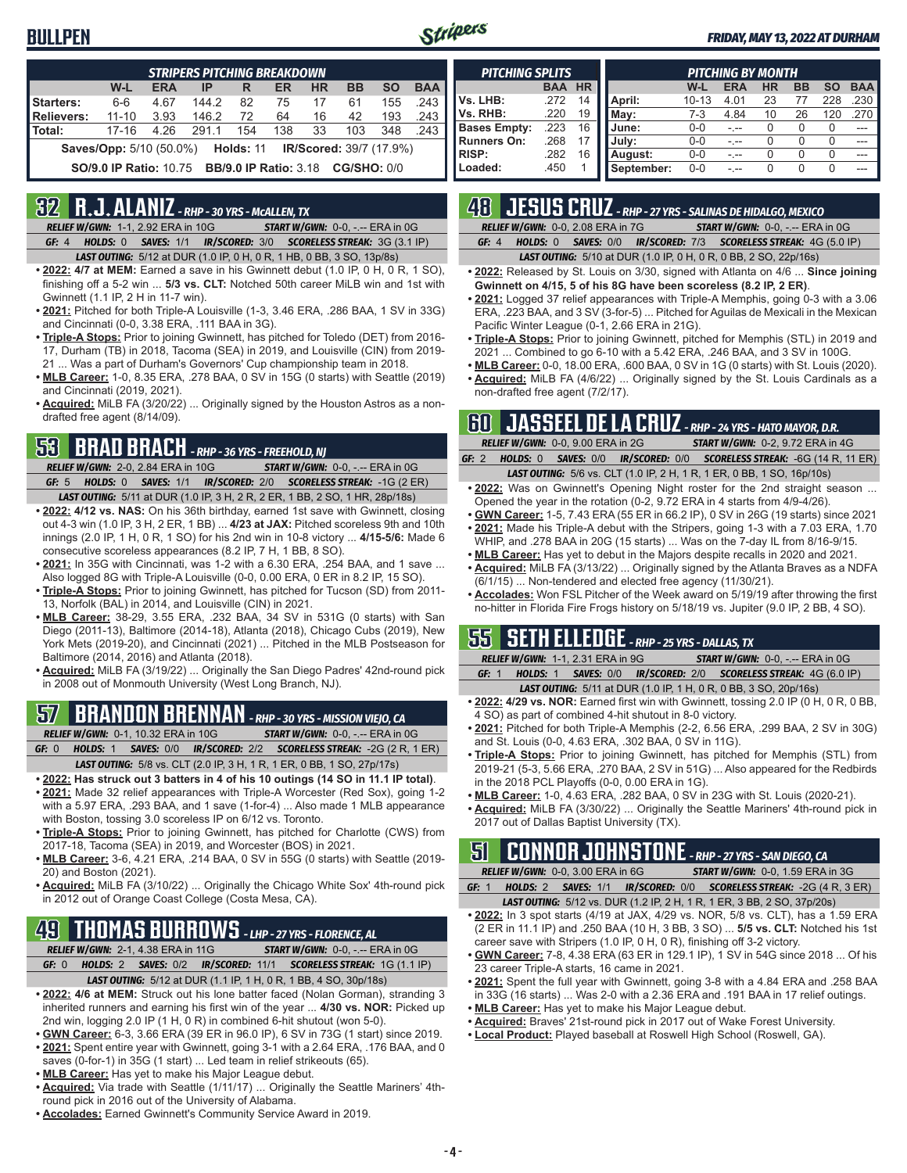### **BULLPEN**



#### *FRIDAY, MAY 13, 2022 AT DURHAM*

| <b>STRIPERS PITCHING BREAKDOWN</b>                                      |           |            |       |     |     |           |           |           |            |  |
|-------------------------------------------------------------------------|-----------|------------|-------|-----|-----|-----------|-----------|-----------|------------|--|
|                                                                         | W-L       | <b>ERA</b> | IP    | R   | ER  | <b>HR</b> | <b>BB</b> | <b>SO</b> | <b>BAA</b> |  |
| Starters:                                                               | $6 - 6$   | 4.67       | 144.2 | 82  | 75  | 17        | 61        | 155       | .243       |  |
| Relievers:                                                              | $11 - 10$ | 3.93       | 146.2 | 72  | 64  | 16        | 42        | 193       | .243       |  |
| l Total:                                                                | $17 - 16$ | 4.26       | 291.1 | 154 | 138 | 33        | 103       | 348       | .243       |  |
| <b>Saves/Opp:</b> 5/10 (50.0%) <b>Holds: 11 IR/Scored:</b> 39/7 (17.9%) |           |            |       |     |     |           |           |           |            |  |
| <b>SO/9.0 IP Ratio: 10.75 BB/9.0 IP Ratio: 3.18 CG/SHO: 0/0</b>         |           |            |       |     |     |           |           |           |            |  |

### **32 R.J. ALANIZ** *- RHP - 30 YRS - McALLEN, TX*

*RELIEF W/GWN:*1-1, 2.92 ERA in 10G *START W/GWN:*0-0, -.-- ERA in 0G *GF:*4 *HOLDS:*0 *SAVES:*1/1 *IR/SCORED:*3/0 *SCORELESS STREAK:*3G (3.1 IP)

*LAST OUTING:*5/12 at DUR (1.0 IP, 0 H, 0 R, 1 HB, 0 BB, 3 SO, 13p/8s)

- **• 2022: 4/7 at MEM:** Earned a save in his Gwinnett debut (1.0 IP, 0 H, 0 R, 1 SO), finishing off a 5-2 win ... **5/3 vs. CLT:** Notched 50th career MiLB win and 1st with Gwinnett (1.1 IP, 2 H in 11-7 win).
- **• 2021:** Pitched for both Triple-A Louisville (1-3, 3.46 ERA, .286 BAA, 1 SV in 33G) and Cincinnati (0-0, 3.38 ERA, .111 BAA in 3G).
- **• Triple-A Stops:** Prior to joining Gwinnett, has pitched for Toledo (DET) from 2016- 17, Durham (TB) in 2018, Tacoma (SEA) in 2019, and Louisville (CIN) from 2019- 21 ... Was a part of Durham's Governors' Cup championship team in 2018.
- **• MLB Career:** 1-0, 8.35 ERA, .278 BAA, 0 SV in 15G (0 starts) with Seattle (2019) and Cincinnati (2019, 2021).
- **• Acquired:** MiLB FA (3/20/22) ... Originally signed by the Houston Astros as a nondrafted free agent (8/14/09).

# **53 BRAD BRACH** *- RHP - 36 YRS - FREEHOLD, NJ*

*RELIEF W/GWN:*2-0, 2.84 ERA in 10G *START W/GWN:*0-0, -.-- ERA in 0G *GF:*5 *HOLDS:*0 *SAVES:*1/1 *IR/SCORED:*2/0 *SCORELESS STREAK:*-1G (2 ER)

- *LAST OUTING:*5/11 at DUR (1.0 IP, 3 H, 2 R, 2 ER, 1 BB, 2 SO, 1 HR, 28p/18s) **• 2022: 4/12 vs. NAS:** On his 36th birthday, earned 1st save with Gwinnett, closing out 4-3 win (1.0 IP, 3 H, 2 ER, 1 BB) ... **4/23 at JAX:** Pitched scoreless 9th and 10th innings (2.0 IP, 1 H, 0 R, 1 SO) for his 2nd win in 10-8 victory ... **4/15-5/6:** Made 6 consecutive scoreless appearances (8.2 IP, 7 H, 1 BB, 8 SO).
- **• 2021:** In 35G with Cincinnati, was 1-2 with a 6.30 ERA, .254 BAA, and 1 save ... Also logged 8G with Triple-A Louisville (0-0, 0.00 ERA, 0 ER in 8.2 IP, 15 SO).
- **• Triple-A Stops:** Prior to joining Gwinnett, has pitched for Tucson (SD) from 2011- 13, Norfolk (BAL) in 2014, and Louisville (CIN) in 2021.
- **• MLB Career:** 38-29, 3.55 ERA, .232 BAA, 34 SV in 531G (0 starts) with San Diego (2011-13), Baltimore (2014-18), Atlanta (2018), Chicago Cubs (2019), New York Mets (2019-20), and Cincinnati (2021) ... Pitched in the MLB Postseason for Baltimore (2014, 2016) and Atlanta (2018).
- **• Acquired:** MiLB FA (3/19/22) ... Originally the San Diego Padres' 42nd-round pick in 2008 out of Monmouth University (West Long Branch, NJ).

#### **57 BRANDON BRENNAN** *- RHP - 30 YRS - MISSION VIEJO, CA RELIEF W/GWN:*0-1, 10.32 ERA in 10G *START W/GWN:*0-0, -.-- ERA in 0G

*GF:*0 *HOLDS:*1 *SAVES:*0/0 *IR/SCORED:*2/2 *SCORELESS STREAK:*-2G (2 R, 1 ER)

- *LAST OUTING:*5/8 vs. CLT (2.0 IP, 3 H, 1 R, 1 ER, 0 BB, 1 SO, 27p/17s)
- **• 2022: Has struck out 3 batters in 4 of his 10 outings (14 SO in 11.1 IP total)**. **• 2021:** Made 32 relief appearances with Triple-A Worcester (Red Sox), going 1-2 with a 5.97 ERA, .293 BAA, and 1 save (1-for-4) ... Also made 1 MLB appearance with Boston, tossing 3.0 scoreless IP on 6/12 vs. Toronto.
- **• Triple-A Stops:** Prior to joining Gwinnett, has pitched for Charlotte (CWS) from 2017-18, Tacoma (SEA) in 2019, and Worcester (BOS) in 2021.
- **• MLB Career:** 3-6, 4.21 ERA, .214 BAA, 0 SV in 55G (0 starts) with Seattle (2019- 20) and Boston (2021).
- **• Acquired:** MiLB FA (3/10/22) ... Originally the Chicago White Sox' 4th-round pick in 2012 out of Orange Coast College (Costa Mesa, CA).

# **49 THOMAS BURROWS** *- LHP - 27 YRS - FLORENCE, AL*

*RELIEF W/GWN:*2-1, 4.38 ERA in 11G *START W/GWN:*0-0, -.-- ERA in 0G

- *GF:*0 *HOLDS:*2 *SAVES:*0/2 *IR/SCORED:*11/1 *SCORELESS STREAK:*1G (1.1 IP) *LAST OUTING:*5/12 at DUR (1.1 IP, 1 H, 0 R, 1 BB, 4 SO, 30p/18s)
- **• 2022: 4/6 at MEM:** Struck out his lone batter faced (Nolan Gorman), stranding 3 inherited runners and earning his first win of the year ... **4/30 vs. NOR:** Picked up 2nd win, logging 2.0 IP (1 H, 0 R) in combined 6-hit shutout (won 5-0).
- **• GWN Career:** 6-3, 3.66 ERA (39 ER in 96.0 IP), 6 SV in 73G (1 start) since 2019.
- **• 2021:** Spent entire year with Gwinnett, going 3-1 with a 2.64 ERA, .176 BAA, and 0
- saves (0-for-1) in 35G (1 start) ... Led team in relief strikeouts (65).
- **• MLB Career:** Has yet to make his Major League debut.
- **• Acquired:** Via trade with Seattle (1/11/17) ... Originally the Seattle Mariners' 4thround pick in 2016 out of the University of Alabama.
- **• Accolades:** Earned Gwinnett's Community Service Award in 2019.

| <b>PITCHING SPLITS</b> |            |           |            |           | <b>PITCHING BY MONTH</b> |           |           |     |            |
|------------------------|------------|-----------|------------|-----------|--------------------------|-----------|-----------|-----|------------|
|                        | <b>BAA</b> | <b>HR</b> |            | W-L       | <b>ERA</b>               | <b>HR</b> | <b>BB</b> | SΟ  | <b>BAA</b> |
| Vs. LHB:               | .272       | 14        | April:     | $10 - 13$ | 4.01                     | 23        |           | 228 | .230       |
| Vs. RHB:               | .220       | 19        | Mav:       | 7-3       | 4.84                     | 10        | 26        | 120 | 270        |
| <b>Bases Empty:</b>    | .223       | 16        | June:      | $0 - 0$   |                          | 0         |           |     |            |
| <b>Runners On:</b>     | .268       |           | July:      | $0 - 0$   | - --                     |           |           |     | ---        |
| <b>RISP:</b>           | .282       | 16        | August:    | $0 - 0$   |                          |           |           | O   |            |
| Loaded:                | .450       |           | September: | $0 - 0$   |                          |           |           | U   |            |

# **48 JESUS CRUZ** *- RHP - 27 YRS - SALINAS DE HIDALGO, MEXICO*

|  | <b>RELIEF W/GWN: 0-0, 2.08 ERA in 7G</b> |  | <b>START W/GWN: 0-0, -.-- ERA in 0G</b>                                      |
|--|------------------------------------------|--|------------------------------------------------------------------------------|
|  |                                          |  | <b>GF:</b> 4 HOLDS: 0 SAVES: 0/0 IR/SCORED: 7/3 SCORELESS STREAK: 4G (5.0 IP |

*LAST OUTING:*5/10 at DUR (1.0 IP, 0 H, 0 R, 0 BB, 2 SO, 22p/16s)

- **• 2022:** Released by St. Louis on 3/30, signed with Atlanta on 4/6 ... **Since joining Gwinnett on 4/15, 5 of his 8G have been scoreless (8.2 IP, 2 ER)**.
- **• 2021:** Logged 37 relief appearances with Triple-A Memphis, going 0-3 with a 3.06 ERA, .223 BAA, and 3 SV (3-for-5) ... Pitched for Aguilas de Mexicali in the Mexican Pacific Winter League (0-1, 2.66 ERA in 21G).
- **• Triple-A Stops:** Prior to joining Gwinnett, pitched for Memphis (STL) in 2019 and 2021 ... Combined to go 6-10 with a 5.42 ERA, .246 BAA, and 3 SV in 100G.
- **• MLB Career:** 0-0, 18.00 ERA, .600 BAA, 0 SV in 1G (0 starts) with St. Louis (2020). **• Acquired:** MiLB FA (4/6/22) ... Originally signed by the St. Louis Cardinals as a
- non-drafted free agent (7/2/17).

### **60 JASSEEL DE LA CRUZ** *- RHP - 24 YRS - HATO MAYOR, D.R.*

|  | RELIEF W/GWN: 0-0, 9.00 ERA in 2G | <b>START W/GWN: 0-2, 9.72 ERA in 4G</b>                                 |                                                                              |
|--|-----------------------------------|-------------------------------------------------------------------------|------------------------------------------------------------------------------|
|  |                                   |                                                                         | GF: 2 HOLDS: 0 SAVES: 0/0 IR/SCORED: 0/0 SCORELESS STREAK: -6G (14 R, 11 ER) |
|  |                                   | <b>IACT OUTING, EIG VO CIT (1 0 ID 9 LI 4 D 4 ED 0 DD 4 CO 46n/10n)</b> |                                                                              |

- *LAST OUTING:*5/6 vs. CLT (1.0 IP, 2 H, 1 R, 1 ER, 0 BB, 1 SO, 16p/10s) **• 2022:** Was on Gwinnett's Opening Night roster for the 2nd straight season ... Opened the year in the rotation (0-2, 9.72 ERA in 4 starts from 4/9-4/26).
- **• GWN Career:** 1-5, 7.43 ERA (55 ER in 66.2 IP), 0 SV in 26G (19 starts) since 2021 **• 2021:** Made his Triple-A debut with the Stripers, going 1-3 with a 7.03 ERA, 1.70
- WHIP, and .278 BAA in 20G (15 starts) ... Was on the 7-day IL from 8/16-9/15.
- **• MLB Career:** Has yet to debut in the Majors despite recalls in 2020 and 2021. **• Acquired:** MiLB FA (3/13/22) ... Originally signed by the Atlanta Braves as a NDFA (6/1/15) ... Non-tendered and elected free agency (11/30/21).
- **• Accolades:** Won FSL Pitcher of the Week award on 5/19/19 after throwing the first no-hitter in Florida Fire Frogs history on 5/18/19 vs. Jupiter (9.0 IP, 2 BB, 4 SO).

### **55 SETH ELLEDGE** *- RHP - 25 YRS - DALLAS, TX*

*RELIEF W/GWN:*1-1, 2.31 ERA in 9G *START W/GWN:*0-0, -.-- ERA in 0G *GF:*1 *HOLDS:*1 *SAVES:*0/0 *IR/SCORED:*2/0 *SCORELESS STREAK:*4G (6.0 IP)

- *LAST OUTING:*5/11 at DUR (1.0 IP, 1 H, 0 R, 0 BB, 3 SO, 20p/16s)
- **• 2022: 4/29 vs. NOR:** Earned first win with Gwinnett, tossing 2.0 IP (0 H, 0 R, 0 BB, 4 SO) as part of combined 4-hit shutout in 8-0 victory.
- **• 2021:** Pitched for both Triple-A Memphis (2-2, 6.56 ERA, .299 BAA, 2 SV in 30G) and St. Louis (0-0, 4.63 ERA, .302 BAA, 0 SV in 11G).
- **• Triple-A Stops:** Prior to joining Gwinnett, has pitched for Memphis (STL) from 2019-21 (5-3, 5.66 ERA, .270 BAA, 2 SV in 51G) ... Also appeared for the Redbirds in the 2018 PCL Playoffs (0-0, 0.00 ERA in 1G).
- **• MLB Career:** 1-0, 4.63 ERA, .282 BAA, 0 SV in 23G with St. Louis (2020-21).
- **• Acquired:** MiLB FA (3/30/22) ... Originally the Seattle Mariners' 4th-round pick in 2017 out of Dallas Baptist University (TX).

### **51 CONNOR JOHNSTONE** *- RHP - 27 YRS - SAN DIEGO, CA*

*RELIEF W/GWN:*0-0, 3.00 ERA in 6G *START W/GWN:*0-0, 1.59 ERA in 3G

*GF:*1 *HOLDS:*2 *SAVES:*1/1 *IR/SCORED:*0/0 *SCORELESS STREAK:*-2G (4 R, 3 ER) *LAST OUTING:*5/12 vs. DUR (1.2 IP, 2 H, 1 R, 1 ER, 3 BB, 2 SO, 37p/20s)

- **• 2022:** In 3 spot starts (4/19 at JAX, 4/29 vs. NOR, 5/8 vs. CLT), has a 1.59 ERA (2 ER in 11.1 IP) and .250 BAA (10 H, 3 BB, 3 SO) ... **5/5 vs. CLT:** Notched his 1st career save with Stripers (1.0 IP, 0 H, 0 R), finishing off 3-2 victory.
- **• GWN Career:** 7-8, 4.38 ERA (63 ER in 129.1 IP), 1 SV in 54G since 2018 ... Of his 23 career Triple-A starts, 16 came in 2021.
- **• 2021:** Spent the full year with Gwinnett, going 3-8 with a 4.84 ERA and .258 BAA in 33G (16 starts) ... Was 2-0 with a 2.36 ERA and .191 BAA in 17 relief outings. **• MLB Career:** Has yet to make his Major League debut.
- 
- **• Acquired:** Braves' 21st-round pick in 2017 out of Wake Forest University. **• Local Product:** Played baseball at Roswell High School (Roswell, GA).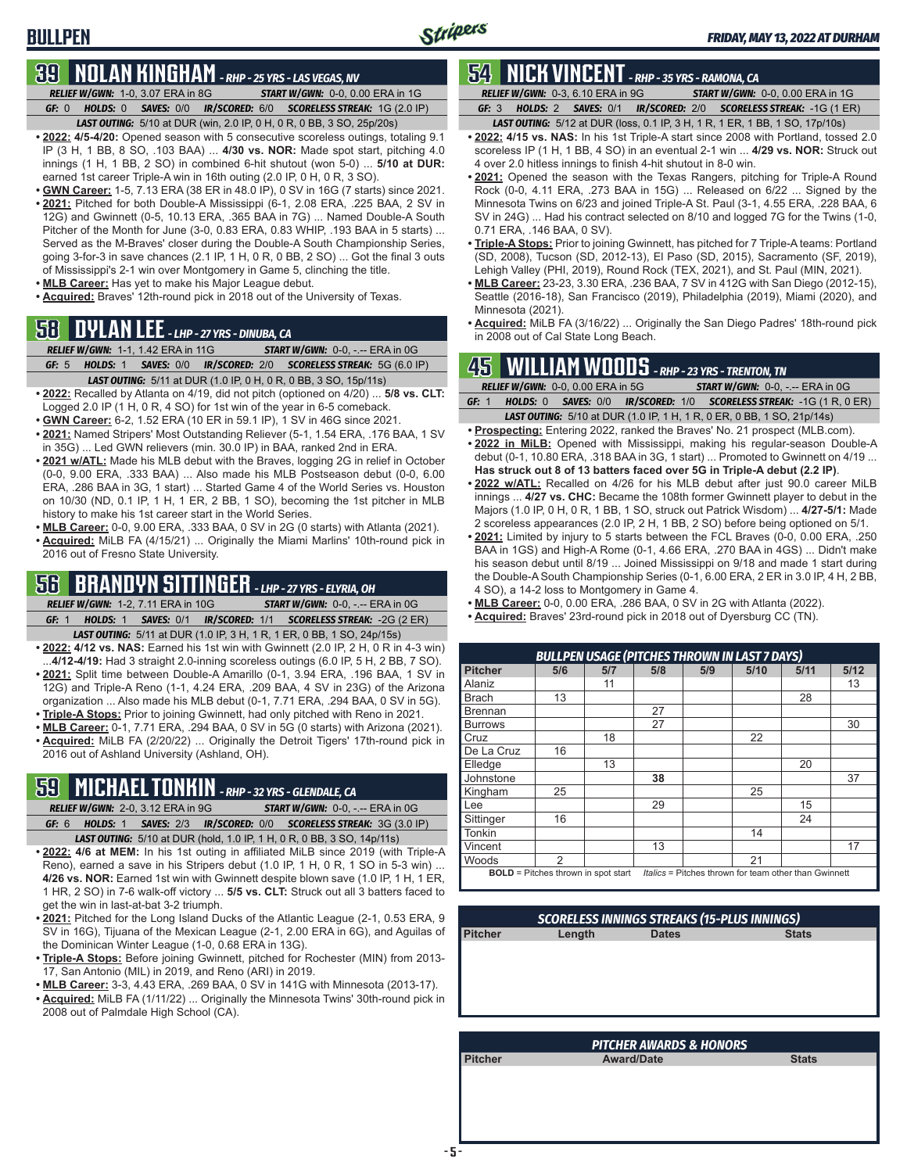# **39 NOLAN KINGHAM** *- RHP - 25 YRS - LAS VEGAS, NV*

*RELIEF W/GWN:*1-0, 3.07 ERA in 8G *START W/GWN:*0-0, 0.00 ERA in 1G *GF:*0 *HOLDS:*0 *SAVES:*0/0 *IR/SCORED:*6/0 *SCORELESS STREAK:*1G (2.0 IP)

- *LAST OUTING:*5/10 at DUR (win, 2.0 IP, 0 H, 0 R, 0 BB, 3 SO, 25p/20s) **• 2022: 4/5-4/20:** Opened season with 5 consecutive scoreless outings, totaling 9.1
- IP (3 H, 1 BB, 8 SO, .103 BAA) ... **4/30 vs. NOR:** Made spot start, pitching 4.0 innings (1 H, 1 BB, 2 SO) in combined 6-hit shutout (won 5-0) ... **5/10 at DUR:** earned 1st career Triple-A win in 16th outing (2.0 IP, 0 H, 0 R, 3 SO).
- **• GWN Career:** 1-5, 7.13 ERA (38 ER in 48.0 IP), 0 SV in 16G (7 starts) since 2021. **• 2021:** Pitched for both Double-A Mississippi (6-1, 2.08 ERA, .225 BAA, 2 SV in 12G) and Gwinnett (0-5, 10.13 ERA, .365 BAA in 7G) ... Named Double-A South Pitcher of the Month for June (3-0, 0.83 ERA, 0.83 WHIP, .193 BAA in 5 starts) ... Served as the M-Braves' closer during the Double-A South Championship Series, going 3-for-3 in save chances (2.1 IP, 1 H, 0 R, 0 BB, 2 SO) ... Got the final 3 outs of Mississippi's 2-1 win over Montgomery in Game 5, clinching the title.
- **• MLB Career:** Has yet to make his Major League debut.
- **• Acquired:** Braves' 12th-round pick in 2018 out of the University of Texas.

# **58 DYLAN LEE** *- LHP - 27 YRS - DINUBA, CA*

|         | <b>RELIEF W/GWN: 1-1, 1.42 ERA in 11G</b> | <b>START W/GWN: <math>0-0</math>.</b> -.-- ERA in $0G$                  |
|---------|-------------------------------------------|-------------------------------------------------------------------------|
| GF: $5$ |                                           | HOLDS: 1 SAVES: 0/0 IR/SCORED: 2/0 SCORELESS STREAK: 5G (6.0 IP)        |
|         |                                           | <b>LAST OUTING:</b> 5/11 at DUR (1.0 IP, 0 H, 0 R, 0 BB, 3 SO, 15p/11s) |

- **• 2022:** Recalled by Atlanta on 4/19, did not pitch (optioned on 4/20) ... **5/8 vs. CLT:** Logged 2.0 IP (1 H, 0 R, 4 SO) for 1st win of the year in 6-5 comeback.
- **• GWN Career:** 6-2, 1.52 ERA (10 ER in 59.1 IP), 1 SV in 46G since 2021.
- **• 2021:** Named Stripers' Most Outstanding Reliever (5-1, 1.54 ERA, .176 BAA, 1 SV in 35G) ... Led GWN relievers (min. 30.0 IP) in BAA, ranked 2nd in ERA.
- **• 2021 w/ATL:** Made his MLB debut with the Braves, logging 2G in relief in October (0-0, 9.00 ERA, .333 BAA) ... Also made his MLB Postseason debut (0-0, 6.00 ERA, .286 BAA in 3G, 1 start) ... Started Game 4 of the World Series vs. Houston on 10/30 (ND, 0.1 IP, 1 H, 1 ER, 2 BB, 1 SO), becoming the 1st pitcher in MLB history to make his 1st career start in the World Series.
- **• MLB Career:** 0-0, 9.00 ERA, .333 BAA, 0 SV in 2G (0 starts) with Atlanta (2021).
- **• Acquired:** MiLB FA (4/15/21) ... Originally the Miami Marlins' 10th-round pick in 2016 out of Fresno State University.

### **56 BRANDYN SITTINGER** *- LHP - 27 YRS - ELYRIA, OH*

- *RELIEF W/GWN:*1-2, 7.11 ERA in 10G *START W/GWN:*0-0, -.-- ERA in 0G *GF:*1 *HOLDS:*1 *SAVES:*0/1 *IR/SCORED:*1/1 *SCORELESS STREAK:*-2G (2 ER) *LAST OUTING:*5/11 at DUR (1.0 IP, 3 H, 1 R, 1 ER, 0 BB, 1 SO, 24p/15s)
- **• 2022: 4/12 vs. NAS:** Earned his 1st win with Gwinnett (2.0 IP, 2 H, 0 R in 4-3 win) ...**4/12-4/19:** Had 3 straight 2.0-inning scoreless outings (6.0 IP, 5 H, 2 BB, 7 SO).
- **• 2021:** Split time between Double-A Amarillo (0-1, 3.94 ERA, .196 BAA, 1 SV in 12G) and Triple-A Reno (1-1, 4.24 ERA, .209 BAA, 4 SV in 23G) of the Arizona organization ... Also made his MLB debut (0-1, 7.71 ERA, .294 BAA, 0 SV in 5G).
- **• Triple-A Stops:** Prior to joining Gwinnett, had only pitched with Reno in 2021.
- **• MLB Career:** 0-1, 7.71 ERA, .294 BAA, 0 SV in 5G (0 starts) with Arizona (2021). **• Acquired:** MiLB FA (2/20/22) ... Originally the Detroit Tigers' 17th-round pick in 2016 out of Ashland University (Ashland, OH).

# **59 MICHAEL TONKIN** *- RHP - 32 YRS - GLENDALE, CA*

- *RELIEF W/GWN:*2-0, 3.12 ERA in 9G *START W/GWN:*0-0, -.-- ERA in 0G *GF:*6 *HOLDS:*1 *SAVES:*2/3 *IR/SCORED:*0/0 *SCORELESS STREAK:*3G (3.0 IP)
- *LAST OUTING:*5/10 at DUR (hold, 1.0 IP, 1 H, 0 R, 0 BB, 3 SO, 14p/11s) **• 2022: 4/6 at MEM:** In his 1st outing in affiliated MiLB since 2019 (with Triple-A Reno), earned a save in his Stripers debut (1.0 IP, 1 H, 0 R, 1 SO in 5-3 win) ... **4/26 vs. NOR:** Earned 1st win with Gwinnett despite blown save (1.0 IP, 1 H, 1 ER, 1 HR, 2 SO) in 7-6 walk-off victory ... **5/5 vs. CLT:** Struck out all 3 batters faced to get the win in last-at-bat 3-2 triumph.
- **• 2021:** Pitched for the Long Island Ducks of the Atlantic League (2-1, 0.53 ERA, 9 SV in 16G), Tijuana of the Mexican League (2-1, 2.00 ERA in 6G), and Aguilas of the Dominican Winter League (1-0, 0.68 ERA in 13G).
- **• Triple-A Stops:** Before joining Gwinnett, pitched for Rochester (MIN) from 2013- 17, San Antonio (MIL) in 2019, and Reno (ARI) in 2019.
- **• MLB Career:** 3-3, 4.43 ERA, .269 BAA, 0 SV in 141G with Minnesota (2013-17).
- **• Acquired:** MiLB FA (1/11/22) ... Originally the Minnesota Twins' 30th-round pick in 2008 out of Palmdale High School (CA).

# **54 NICK VINCENT** *- RHP - 35 YRS - RAMONA, CA*

*RELIEF W/GWN:*0-3, 6.10 ERA in 9G *START W/GWN:*0-0, 0.00 ERA in 1G *GF:*3 *HOLDS:*2 *SAVES:*0/1 *IR/SCORED:*2/0 *SCORELESS STREAK:*-1G (1 ER)

- *LAST OUTING:*5/12 at DUR (loss, 0.1 IP, 3 H, 1 R, 1 ER, 1 BB, 1 SO, 17p/10s)
- **• 2022: 4/15 vs. NAS:** In his 1st Triple-A start since 2008 with Portland, tossed 2.0 scoreless IP (1 H, 1 BB, 4 SO) in an eventual 2-1 win ... **4/29 vs. NOR:** Struck out 4 over 2.0 hitless innings to finish 4-hit shutout in 8-0 win.
- **• 2021:** Opened the season with the Texas Rangers, pitching for Triple-A Round Rock (0-0, 4.11 ERA, .273 BAA in 15G) ... Released on 6/22 ... Signed by the Minnesota Twins on 6/23 and joined Triple-A St. Paul (3-1, 4.55 ERA, .228 BAA, 6 SV in 24G) ... Had his contract selected on 8/10 and logged 7G for the Twins (1-0, 0.71 ERA, .146 BAA, 0 SV).
- **• Triple-A Stops:** Prior to joining Gwinnett, has pitched for 7 Triple-A teams: Portland (SD, 2008), Tucson (SD, 2012-13), El Paso (SD, 2015), Sacramento (SF, 2019), Lehigh Valley (PHI, 2019), Round Rock (TEX, 2021), and St. Paul (MIN, 2021).
- **• MLB Career:** 23-23, 3.30 ERA, .236 BAA, 7 SV in 412G with San Diego (2012-15), Seattle (2016-18), San Francisco (2019), Philadelphia (2019), Miami (2020), and Minnesota (2021).
- **• Acquired:** MiLB FA (3/16/22) ... Originally the San Diego Padres' 18th-round pick in 2008 out of Cal State Long Beach.

# **45 WILLIAM WOODS** *- RHP - 23 YRS - TRENTON, TN*

|       | <b>RELIEF W/GWN: 0-0, 0.00 ERA in 5G</b> |  | <b>START W/GWN: 0-0, -.-- ERA in 0G.</b>                                                         |
|-------|------------------------------------------|--|--------------------------------------------------------------------------------------------------|
| GF: 1 |                                          |  | <b>HOLDS:</b> 0 <b>SAVES:</b> 0/0 <b>IR/SCORED:</b> 1/0 <b>SCORELESS STREAK:</b> -1G (1 R, 0 ER) |
|       |                                          |  | <b>LAST OUTING:</b> 5/10 at DUR (1.0 IP, 1 H, 1 R, 0 ER, 0 BB, 1 SO, 21p/14s)                    |

- **• Prospecting:** Entering 2022, ranked the Braves' No. 21 prospect (MLB.com). **• 2022 in MiLB:** Opened with Mississippi, making his regular-season Double-A debut (0-1, 10.80 ERA, .318 BAA in 3G, 1 start) ... Promoted to Gwinnett on 4/19 ...
- **Has struck out 8 of 13 batters faced over 5G in Triple-A debut (2.2 IP)**. **• 2022 w/ATL:** Recalled on 4/26 for his MLB debut after just 90.0 career MiLB innings ... **4/27 vs. CHC:** Became the 108th former Gwinnett player to debut in the Majors (1.0 IP, 0 H, 0 R, 1 BB, 1 SO, struck out Patrick Wisdom) ... **4/27-5/1:** Made 2 scoreless appearances (2.0 IP, 2 H, 1 BB, 2 SO) before being optioned on 5/1.
- **• 2021:** Limited by injury to 5 starts between the FCL Braves (0-0, 0.00 ERA, .250 BAA in 1GS) and High-A Rome (0-1, 4.66 ERA, .270 BAA in 4GS) ... Didn't make his season debut until 8/19 ... Joined Mississippi on 9/18 and made 1 start during the Double-A South Championship Series (0-1, 6.00 ERA, 2 ER in 3.0 IP, 4 H, 2 BB, 4 SO), a 14-2 loss to Montgomery in Game 4.
- **• MLB Career:** 0-0, 0.00 ERA, .286 BAA, 0 SV in 2G with Atlanta (2022).
- **• Acquired:** Braves' 23rd-round pick in 2018 out of Dyersburg CC (TN).

| <b>BULLPEN USAGE (PITCHES THROWN IN LAST 7 DAYS)</b>                                                |     |     |     |     |      |      |      |
|-----------------------------------------------------------------------------------------------------|-----|-----|-----|-----|------|------|------|
| <b>Pitcher</b>                                                                                      | 5/6 | 5/7 | 5/8 | 5/9 | 5/10 | 5/11 | 5/12 |
| Alaniz                                                                                              |     | 11  |     |     |      |      | 13   |
| Brach                                                                                               | 13  |     |     |     |      | 28   |      |
| <b>Brennan</b>                                                                                      |     |     | 27  |     |      |      |      |
| <b>Burrows</b>                                                                                      |     |     | 27  |     |      |      | 30   |
| Cruz                                                                                                |     | 18  |     |     | 22   |      |      |
| De La Cruz                                                                                          | 16  |     |     |     |      |      |      |
| Elledge                                                                                             |     | 13  |     |     |      | 20   |      |
| Johnstone                                                                                           |     |     | 38  |     |      |      | 37   |
| Kingham                                                                                             | 25  |     |     |     | 25   |      |      |
| Lee                                                                                                 |     |     | 29  |     |      | 15   |      |
| Sittinger                                                                                           | 16  |     |     |     |      | 24   |      |
| Tonkin                                                                                              |     |     |     |     | 14   |      |      |
| Vincent                                                                                             |     |     | 13  |     |      |      | 17   |
| Woods                                                                                               | 2   |     |     |     | 21   |      |      |
| Italics = Pitches thrown for team other than Gwinnett<br><b>BOLD</b> = Pitches thrown in spot start |     |     |     |     |      |      |      |

| <b>SCORELESS INNINGS STREAKS (15-PLUS INNINGS)</b> |        |              |              |  |  |
|----------------------------------------------------|--------|--------------|--------------|--|--|
| <b>Pitcher</b>                                     | Length | <b>Dates</b> | <b>Stats</b> |  |  |
|                                                    |        |              |              |  |  |
|                                                    |        |              |              |  |  |
|                                                    |        |              |              |  |  |
|                                                    |        |              |              |  |  |
|                                                    |        |              |              |  |  |

| <b>PITCHER AWARDS &amp; HONORS</b> |                   |              |  |  |  |  |
|------------------------------------|-------------------|--------------|--|--|--|--|
| <b>Pitcher</b>                     | <b>Award/Date</b> | <b>Stats</b> |  |  |  |  |
|                                    |                   |              |  |  |  |  |
|                                    |                   |              |  |  |  |  |
|                                    |                   |              |  |  |  |  |
|                                    |                   |              |  |  |  |  |
|                                    |                   |              |  |  |  |  |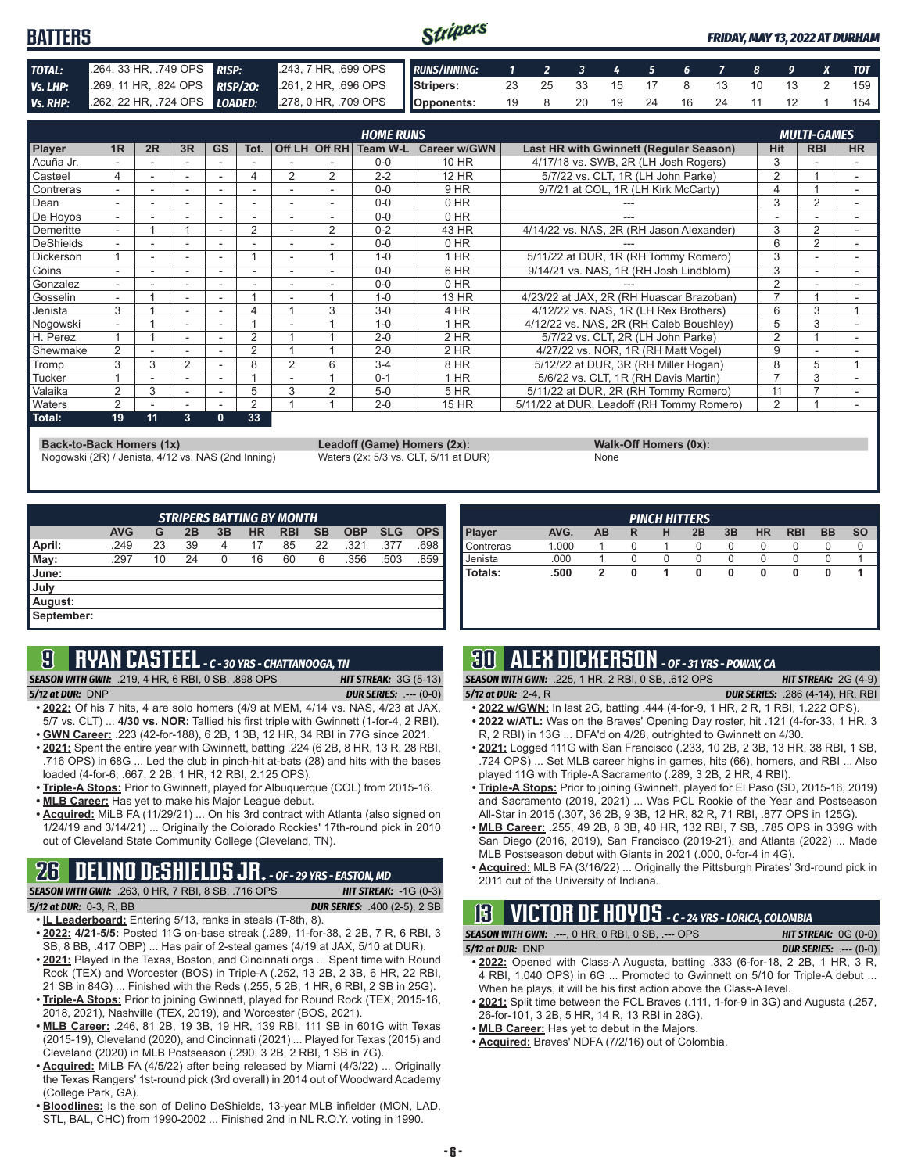#### Stripers **BATTERS** *FRIDAY, MAY 13, 2022 AT DURHAM TOTAL:* .264, 33 HR, .749 OPS *RISP:* .243, 7 HR, .699 OPS *RUNS/INNING: 1 2 3 4 5 6 7 8 9 X TOT Vs. LHP:* .269, 11 HR, .824 OPS *RISP/2O:* .261, 2 HR, .696 OPS **Stripers:** 23 25 33 15 17 8 13 10 13 2 159 *Vs. RHP:* .262, 22 HR, .724 OPS *LOADED:* .278, 0 HR, .709 OPS **Opponents:** 19 8 20 19 24 16 24 11 12 1 154

|                  |                          |    |                          |           |      |   |                | <b>HOME RUNS</b> |                     |                                           |            | <b>MULTI-GAMES</b> |           |
|------------------|--------------------------|----|--------------------------|-----------|------|---|----------------|------------------|---------------------|-------------------------------------------|------------|--------------------|-----------|
| Player           | 1R                       | 2R | 3R                       | <b>GS</b> | Tot. |   | Off LH Off RH  | Team W-L         | <b>Career w/GWN</b> | Last HR with Gwinnett (Regular Season)    | <b>Hit</b> | <b>RBI</b>         | <b>HR</b> |
| Acuña Jr.        |                          |    |                          |           |      |   |                | $0 - 0$          | 10 HR               | 4/17/18 vs. SWB, 2R (LH Josh Rogers)      | 3          |                    |           |
| Casteel          | 4                        |    | $\overline{\phantom{a}}$ | ٠         | 4    | 2 | 2              | $2 - 2$          | <b>12 HR</b>        | 5/7/22 vs. CLT, 1R (LH John Parke)        | 2          |                    |           |
| Contreras        | $\overline{\phantom{0}}$ |    | $\overline{\phantom{a}}$ |           |      |   |                | $0 - 0$          | 9 HR                | 9/7/21 at COL, 1R (LH Kirk McCarty)       | 4          |                    |           |
| Dean             |                          |    |                          |           |      |   |                | $0 - 0$          | $0$ HR              |                                           | 3          | 2                  |           |
| De Hoyos         | $\overline{\phantom{0}}$ |    |                          | ۰         | ۰    |   |                | $0 - 0$          | $0$ HR              |                                           |            |                    |           |
| Demeritte        | $\overline{\phantom{0}}$ |    |                          |           | 2    |   | $\overline{2}$ | $0 - 2$          | 43 HR               | 4/14/22 vs. NAS, 2R (RH Jason Alexander)  | 3          | 2                  |           |
| DeShields        | ۰.                       |    |                          |           |      |   |                | $0 - 0$          | $0$ HR              |                                           | 6          | 2                  |           |
| <b>Dickerson</b> |                          |    |                          |           |      |   |                | $1 - 0$          | $1$ HR              | 5/11/22 at DUR, 1R (RH Tommy Romero)      | 3          |                    |           |
| Goins            |                          |    |                          |           |      |   |                | $0 - 0$          | 6 HR                | 9/14/21 vs. NAS, 1R (RH Josh Lindblom)    | 3          |                    |           |
| Gonzalez         | $\overline{\phantom{0}}$ |    |                          |           |      |   |                | $0 - 0$          | 0 HR                |                                           | 2          |                    |           |
| Gosselin         |                          |    | $\overline{\phantom{a}}$ |           |      |   |                | $1 - 0$          | 13 HR               | 4/23/22 at JAX, 2R (RH Huascar Brazoban)  |            |                    |           |
| Jenista          | 3                        |    |                          |           |      |   | 3              | $3-0$            | 4 HR                | 4/12/22 vs. NAS, 1R (LH Rex Brothers)     | 6          | 3                  |           |
| Nogowski         | $\overline{\phantom{0}}$ |    |                          | ۰         |      |   |                | $1 - 0$          | 1 HR                | 4/12/22 vs. NAS, 2R (RH Caleb Boushley)   | 5          | 3                  |           |
| H. Perez         |                          |    |                          |           | 2    |   |                | $2 - 0$          | 2 HR                | 5/7/22 vs. CLT. 2R (LH John Parke)        | 2          |                    |           |
| Shewmake         | 2                        |    |                          |           | 2    |   |                | $2 - 0$          | $2$ HR              | 4/27/22 vs. NOR, 1R (RH Matt Vogel)       | 9          |                    |           |
| <b>Tromp</b>     | 3                        | 3  | $\overline{2}$           |           | 8    | 2 | 6              | $3 - 4$          | 8 HR                | 5/12/22 at DUR, 3R (RH Miller Hogan)      | 8          | 5                  |           |
| Tucker           |                          |    |                          |           |      |   |                | $0 - 1$          | 1 HR                | 5/6/22 vs. CLT, 1R (RH Davis Martin)      |            | 3                  |           |
| Valaika          | $\mathcal{P}$            | 3  | $\overline{\phantom{a}}$ |           | 5    | 3 | $\mathfrak{p}$ | $5-0$            | 5 HR                | 5/11/22 at DUR, 2R (RH Tommy Romero)      | 11         |                    |           |
| <b>Naters</b>    | 2                        |    |                          |           | 2    |   |                | $2 - 0$          | <b>15 HR</b>        | 5/11/22 at DUR, Leadoff (RH Tommy Romero) | 2          |                    |           |
| Total:           | 19                       | 11 | 3                        | 0         | 33   |   |                |                  |                     |                                           |            |                    |           |

**Back-to-Back Homers (1x) Leadoff (Game) Homers (2x): Walk-Off Homers (0x): Walk-Off Homers (0x): None None Walk-Off Homers (0x): Walk-Off Homers (0x): Walk-Off Homers (0x): Waters (2x: 5/3 vs. CLT, 5/11 at** Nogowski (2R) / Jenista, 4/12 vs. NAS (2nd Inning)

|             | $\frac{1}{2}$ |
|-------------|---------------|
| <b>None</b> |               |

| <b>STRIPERS BATTING BY MONTH</b> |            |    |    |    |           |            |           |            |            |            |
|----------------------------------|------------|----|----|----|-----------|------------|-----------|------------|------------|------------|
|                                  | <b>AVG</b> | G  | 2B | 3B | <b>HR</b> | <b>RBI</b> | <b>SB</b> | <b>OBP</b> | <b>SLG</b> | <b>OPS</b> |
| April:                           | .249       | 23 | 39 | 4  | 17        | 85         | 22        | .321       | .377       | .698       |
| May:                             | .297       | 10 | 24 | 0  | 16        | 60         | 6         | .356       | .503       | .859       |
| <b>June:</b>                     |            |    |    |    |           |            |           |            |            |            |
| July                             |            |    |    |    |           |            |           |            |            |            |
| August:                          |            |    |    |    |           |            |           |            |            |            |
| September:                       |            |    |    |    |           |            |           |            |            |            |

### **9 RYAN CASTEEL** *- C - 30 YRS - CHATTANOOGA, TN*

*SEASON WITH GWN:*.219, 4 HR, 6 RBI, 0 SB, .898 OPS *HIT STREAK:* 3G (5-13)

*5/12 at DUR:*DNP *DUR SERIES:* .--- (0-0)

- **• 2022:** Of his 7 hits, 4 are solo homers (4/9 at MEM, 4/14 vs. NAS, 4/23 at JAX, 5/7 vs. CLT) ... **4/30 vs. NOR:** Tallied his first triple with Gwinnett (1-for-4, 2 RBI). **• GWN Career:** .223 (42-for-188), 6 2B, 1 3B, 12 HR, 34 RBI in 77G since 2021.
- **• 2021:** Spent the entire year with Gwinnett, batting .224 (6 2B, 8 HR, 13 R, 28 RBI, .716 OPS) in 68G ... Led the club in pinch-hit at-bats (28) and hits with the bases
- loaded (4-for-6, .667, 2 2B, 1 HR, 12 RBI, 2.125 OPS). **• Triple-A Stops:** Prior to Gwinnett, played for Albuquerque (COL) from 2015-16.
- **• MLB Career:** Has yet to make his Major League debut.
- **• Acquired:** MiLB FA (11/29/21) ... On his 3rd contract with Atlanta (also signed on 1/24/19 and 3/14/21) ... Originally the Colorado Rockies' 17th-round pick in 2010 out of Cleveland State Community College (Cleveland, TN).

# **26 DELINO DESHIELDS JR.** *- OF - 29 YRS - EASTON, MD*

*SEASON WITH GWN:*.263, 0 HR, 7 RBI, 8 SB, .716 OPS *HIT STREAK:* -1G (0-3) *5/12 at DUR:*0-3, R, BB *DUR SERIES:* .400 (2-5), 2 SB

- **• IL Leaderboard:** Entering 5/13, ranks in steals (T-8th, 8). **• 2022: 4/21-5/5:** Posted 11G on-base streak (.289, 11-for-38, 2 2B, 7 R, 6 RBI, 3
- SB, 8 BB, .417 OBP) ... Has pair of 2-steal games (4/19 at JAX, 5/10 at DUR). **• 2021:** Played in the Texas, Boston, and Cincinnati orgs ... Spent time with Round
- Rock (TEX) and Worcester (BOS) in Triple-A (.252, 13 2B, 2 3B, 6 HR, 22 RBI, 21 SB in 84G) ... Finished with the Reds (.255, 5 2B, 1 HR, 6 RBI, 2 SB in 25G).
- **• Triple-A Stops:** Prior to joining Gwinnett, played for Round Rock (TEX, 2015-16, 2018, 2021), Nashville (TEX, 2019), and Worcester (BOS, 2021).
- **• MLB Career:** .246, 81 2B, 19 3B, 19 HR, 139 RBI, 111 SB in 601G with Texas (2015-19), Cleveland (2020), and Cincinnati (2021) ... Played for Texas (2015) and Cleveland (2020) in MLB Postseason (.290, 3 2B, 2 RBI, 1 SB in 7G).
- **• Acquired:** MiLB FA (4/5/22) after being released by Miami (4/3/22) ... Originally the Texas Rangers' 1st-round pick (3rd overall) in 2014 out of Woodward Academy (College Park, GA).
- **• Bloodlines:** Is the son of Delino DeShields, 13-year MLB infielder (MON, LAD, STL, BAL, CHC) from 1990-2002 ... Finished 2nd in NL R.O.Y. voting in 1990.

| <b>PINCH HITTERS</b> |       |    |   |   |    |    |           |            |           |           |
|----------------------|-------|----|---|---|----|----|-----------|------------|-----------|-----------|
| <b>Player</b>        | AVG.  | AB | R | н | 2B | 3B | <b>HR</b> | <b>RBI</b> | <b>BB</b> | <b>SO</b> |
| <b>Contreras</b>     | 1.000 |    | O |   | 0  | O  | O         | υ          | U         |           |
| Uenista              | .000  |    |   |   | 0  |    | O         |            | 0         |           |
| l Totals:            | .500  | 2  |   |   | 0  | 0  | 0         | 0          | 0         |           |
|                      |       |    |   |   |    |    |           |            |           |           |
|                      |       |    |   |   |    |    |           |            |           |           |

# **30 ALEX DICKERSON** *- OF - 31 YRS - POWAY, CA*

- 
- *SEASON WITH GWN:*.225, 1 HR, 2 RBI, 0 SB, .612 OPS *HIT STREAK:* 2G (4-9) *5/12 at DUR:*2-4, R *DUR SERIES:* .286 (4-14), HR, RBI
- **• 2022 w/GWN:** In last 2G, batting .444 (4-for-9, 1 HR, 2 R, 1 RBI, 1.222 OPS).
- **• 2022 w/ATL:** Was on the Braves' Opening Day roster, hit .121 (4-for-33, 1 HR, 3 R, 2 RBI) in 13G ... DFA'd on 4/28, outrighted to Gwinnett on 4/30.
- **• 2021:** Logged 111G with San Francisco (.233, 10 2B, 2 3B, 13 HR, 38 RBI, 1 SB, .724 OPS) ... Set MLB career highs in games, hits (66), homers, and RBI ... Also played 11G with Triple-A Sacramento (.289, 3 2B, 2 HR, 4 RBI).
- **• Triple-A Stops:** Prior to joining Gwinnett, played for El Paso (SD, 2015-16, 2019) and Sacramento (2019, 2021) ... Was PCL Rookie of the Year and Postseason All-Star in 2015 (.307, 36 2B, 9 3B, 12 HR, 82 R, 71 RBI, .877 OPS in 125G).
- **• MLB Career:** .255, 49 2B, 8 3B, 40 HR, 132 RBI, 7 SB, .785 OPS in 339G with San Diego (2016, 2019), San Francisco (2019-21), and Atlanta (2022) ... Made MLB Postseason debut with Giants in 2021 (.000, 0-for-4 in 4G).
- **• Acquired:** MLB FA (3/16/22) ... Originally the Pittsburgh Pirates' 3rd-round pick in 2011 out of the University of Indiana.

# **13 VICTOR DE HOYOS** *- C - 24 YRS - LORICA, COLOMBIA*

| 5/12 at DUR: DNP | <b>SEASON WITH GWN: .---, 0 HR, 0 RBI, 0 SB, .--- OPS</b> | <b>HIT STREAK:</b> $0G(0-0)$  |
|------------------|-----------------------------------------------------------|-------------------------------|
|                  |                                                           | <b>DUR SERIES:</b> $---(0-0)$ |

- **• 2022:** Opened with Class-A Augusta, batting .333 (6-for-18, 2 2B, 1 HR, 3 R, 4 RBI, 1.040 OPS) in 6G ... Promoted to Gwinnett on 5/10 for Triple-A debut ... When he plays, it will be his first action above the Class-A level.
- **• 2021:** Split time between the FCL Braves (.111, 1-for-9 in 3G) and Augusta (.257, 26-for-101, 3 2B, 5 HR, 14 R, 13 RBI in 28G).
- **• MLB Career:** Has yet to debut in the Majors.
- **• Acquired:** Braves' NDFA (7/2/16) out of Colombia.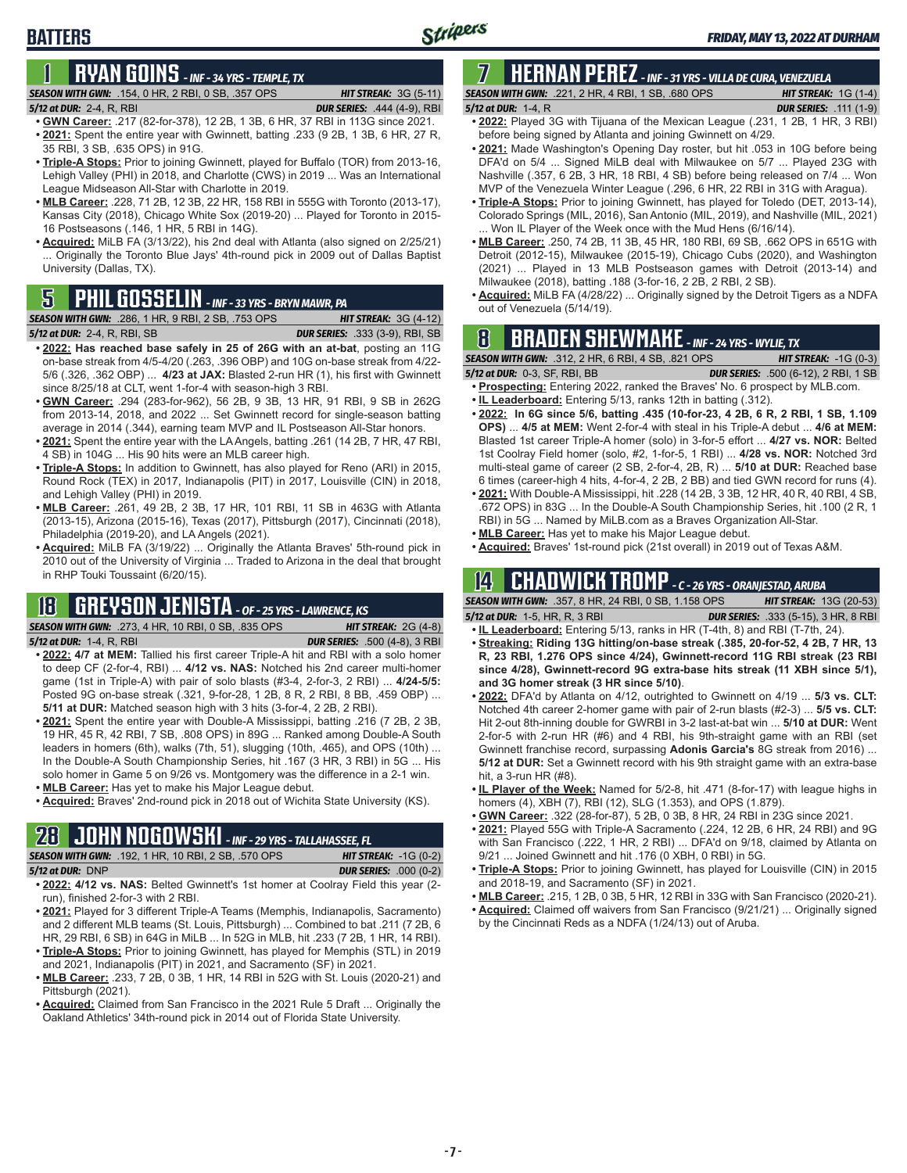# **1 RYAN GOINS** *- INF - 34 YRS - TEMPLE, TX*

### *SEASON WITH GWN:*.154, 0 HR, 2 RBI, 0 SB, .357 OPS *HIT STREAK:* 3G (5-11)

*5/12 at DUR:*2-4, R, RBI *DUR SERIES:* .444 (4-9), RBI

- **• GWN Career:** .217 (82-for-378), 12 2B, 1 3B, 6 HR, 37 RBI in 113G since 2021. **• 2021:** Spent the entire year with Gwinnett, batting .233 (9 2B, 1 3B, 6 HR, 27 R, 35 RBI, 3 SB, .635 OPS) in 91G.
- **• Triple-A Stops:** Prior to joining Gwinnett, played for Buffalo (TOR) from 2013-16, Lehigh Valley (PHI) in 2018, and Charlotte (CWS) in 2019 ... Was an International League Midseason All-Star with Charlotte in 2019.
- **• MLB Career:** .228, 71 2B, 12 3B, 22 HR, 158 RBI in 555G with Toronto (2013-17), Kansas City (2018), Chicago White Sox (2019-20) ... Played for Toronto in 2015- 16 Postseasons (.146, 1 HR, 5 RBI in 14G).
- **• Acquired:** MiLB FA (3/13/22), his 2nd deal with Atlanta (also signed on 2/25/21) ... Originally the Toronto Blue Jays' 4th-round pick in 2009 out of Dallas Baptist University (Dallas, TX).

#### **SEASON WITH GWN:** .286, 1 HR, 9 RBI, 2 SB, .753 OPS *5/12 at DUR:*2-4, R, RBI, SB *DUR SERIES:* .333 (3-9), RBI, SB

- **• 2022: Has reached base safely in 25 of 26G with an at-bat**, posting an 11G on-base streak from 4/5-4/20 (.263, .396 OBP) and 10G on-base streak from 4/22- 5/6 (.326, .362 OBP) ... **4/23 at JAX:** Blasted 2-run HR (1), his first with Gwinnett since 8/25/18 at CLT, went 1-for-4 with season-high 3 RBI.
- **• GWN Career:** .294 (283-for-962), 56 2B, 9 3B, 13 HR, 91 RBI, 9 SB in 262G from 2013-14, 2018, and 2022 ... Set Gwinnett record for single-season batting average in 2014 (.344), earning team MVP and IL Postseason All-Star honors.
- **• 2021:** Spent the entire year with the LA Angels, batting .261 (14 2B, 7 HR, 47 RBI, 4 SB) in 104G ... His 90 hits were an MLB career high.
- **• Triple-A Stops:** In addition to Gwinnett, has also played for Reno (ARI) in 2015, Round Rock (TEX) in 2017, Indianapolis (PIT) in 2017, Louisville (CIN) in 2018, and Lehigh Valley (PHI) in 2019.
- **• MLB Career:** .261, 49 2B, 2 3B, 17 HR, 101 RBI, 11 SB in 463G with Atlanta (2013-15), Arizona (2015-16), Texas (2017), Pittsburgh (2017), Cincinnati (2018), Philadelphia (2019-20), and LA Angels (2021).
- **• Acquired:** MiLB FA (3/19/22) ... Originally the Atlanta Braves' 5th-round pick in 2010 out of the University of Virginia ... Traded to Arizona in the deal that brought in RHP Touki Toussaint (6/20/15).

## **18 GREYSON JENISTA** *- OF - 25 YRS - LAWRENCE, KS*

*SEASON WITH GWN:*.273, 4 HR, 10 RBI, 0 SB, .835 OPS *HIT STREAK:* 2G (4-8)

*5/12 at DUR:*1-4, R, RBI *DUR SERIES:* .500 (4-8), 3 RBI

- **• 2022: 4/7 at MEM:** Tallied his first career Triple-A hit and RBI with a solo homer to deep CF (2-for-4, RBI) ... **4/12 vs. NAS:** Notched his 2nd career multi-homer game (1st in Triple-A) with pair of solo blasts (#3-4, 2-for-3, 2 RBI) ... **4/24-5/5:**  Posted 9G on-base streak (.321, 9-for-28, 1 2B, 8 R, 2 RBI, 8 BB, .459 OBP) ... **5/11 at DUR:** Matched season high with 3 hits (3-for-4, 2 2B, 2 RBI).
- **• 2021:** Spent the entire year with Double-A Mississippi, batting .216 (7 2B, 2 3B, 19 HR, 45 R, 42 RBI, 7 SB, .808 OPS) in 89G ... Ranked among Double-A South leaders in homers (6th), walks (7th, 51), slugging (10th, .465), and OPS (10th) ... In the Double-A South Championship Series, hit .167 (3 HR, 3 RBI) in 5G ... His solo homer in Game 5 on 9/26 vs. Montgomery was the difference in a 2-1 win.
- **• MLB Career:** Has yet to make his Major League debut.
- **• Acquired:** Braves' 2nd-round pick in 2018 out of Wichita State University (KS).

# **28 JOHN NOGOWSKI** *- INF - 29 YRS - TALLAHASSEE, FL*

| <b>SEASON WITH GWN:</b> .192. 1 HR. 10 RBI. 2 SB. .570 OPS . | <b>HIT STREAK:</b> $-1G(0-2)$ |
|--------------------------------------------------------------|-------------------------------|
| 5/12 at DUR: DNP                                             | <b>DUR SERIES:</b> .000 (0-2) |
| $\cdots$<br>$\cdots$ $\cdots$                                |                               |

- **• 2022: 4/12 vs. NAS:** Belted Gwinnett's 1st homer at Coolray Field this year (2 run), finished 2-for-3 with 2 RBI.
- **• 2021:** Played for 3 different Triple-A Teams (Memphis, Indianapolis, Sacramento) and 2 different MLB teams (St. Louis, Pittsburgh) ... Combined to bat .211 (7 2B, 6 HR, 29 RBI, 6 SB) in 64G in MiLB ... In 52G in MLB, hit .233 (7 2B, 1 HR, 14 RBI).
- **• Triple-A Stops:** Prior to joining Gwinnett, has played for Memphis (STL) in 2019 and 2021, Indianapolis (PIT) in 2021, and Sacramento (SF) in 2021.
- **• MLB Career:** .233, 7 2B, 0 3B, 1 HR, 14 RBI in 52G with St. Louis (2020-21) and Pittsburgh (2021).
- **• Acquired:** Claimed from San Francisco in the 2021 Rule 5 Draft ... Originally the Oakland Athletics' 34th-round pick in 2014 out of Florida State University.

### **7 HERNAN PEREZ** *- INF - 31 YRS - VILLA DE CURA, VENEZUELA SEASON WITH GWN:*.221, 2 HR, 4 RBI, 1 SB, .680 OPS *HIT STREAK:* 1G (1-4)

*5/12 at DUR:*1-4, R *DUR SERIES:* .111 (1-9) **• 2022:** Played 3G with Tijuana of the Mexican League (.231, 1 2B, 1 HR, 3 RBI)

- before being signed by Atlanta and joining Gwinnett on 4/29. **• 2021:** Made Washington's Opening Day roster, but hit .053 in 10G before being
- DFA'd on 5/4 ... Signed MiLB deal with Milwaukee on 5/7 ... Played 23G with Nashville (.357, 6 2B, 3 HR, 18 RBI, 4 SB) before being released on 7/4 ... Won MVP of the Venezuela Winter League (.296, 6 HR, 22 RBI in 31G with Aragua).
- **• Triple-A Stops:** Prior to joining Gwinnett, has played for Toledo (DET, 2013-14), Colorado Springs (MIL, 2016), San Antonio (MIL, 2019), and Nashville (MIL, 2021) ... Won IL Player of the Week once with the Mud Hens (6/16/14).
- **• MLB Career:** .250, 74 2B, 11 3B, 45 HR, 180 RBI, 69 SB, .662 OPS in 651G with Detroit (2012-15), Milwaukee (2015-19), Chicago Cubs (2020), and Washington (2021) ... Played in 13 MLB Postseason games with Detroit (2013-14) and Milwaukee (2018), batting .188 (3-for-16, 2 2B, 2 RBI, 2 SB).
- **• Acquired:** MiLB FA (4/28/22) ... Originally signed by the Detroit Tigers as a NDFA **5** out of Venezuela (5/14/19). **PHIL GOSSELIN**  *INF 33 YRS BRYN MAWR, PA*

# **8 BRADEN SHEWMAKE** *- INF - 24 YRS - WYLIE, TX*

*SEASON WITH GWN:*.312, 2 HR, 6 RBI, 4 SB, .821 OPS *HIT STREAK:* -1G (0-3)

- *5/12 at DUR:*0-3, SF, RBI, BB *DUR SERIES:* .500 (6-12), 2 RBI, 1 SB **• Prospecting:** Entering 2022, ranked the Braves' No. 6 prospect by MLB.com.
- **• IL Leaderboard:** Entering 5/13, ranks 12th in batting (.312).
- **• 2022: In 6G since 5/6, batting .435 (10-for-23, 4 2B, 6 R, 2 RBI, 1 SB, 1.109 OPS)** ... **4/5 at MEM:** Went 2-for-4 with steal in his Triple-A debut ... **4/6 at MEM:**  Blasted 1st career Triple-A homer (solo) in 3-for-5 effort ... **4/27 vs. NOR:** Belted 1st Coolray Field homer (solo, #2, 1-for-5, 1 RBI) ... **4/28 vs. NOR:** Notched 3rd multi-steal game of career (2 SB, 2-for-4, 2B, R) ... **5/10 at DUR:** Reached base 6 times (career-high 4 hits, 4-for-4, 2 2B, 2 BB) and tied GWN record for runs (4).
- **• 2021:** With Double-A Mississippi, hit .228 (14 2B, 3 3B, 12 HR, 40 R, 40 RBI, 4 SB, .672 OPS) in 83G ... In the Double-A South Championship Series, hit .100 (2 R, 1 RBI) in 5G ... Named by MiLB.com as a Braves Organization All-Star.
- **• MLB Career:** Has yet to make his Major League debut.
- **• Acquired:** Braves' 1st-round pick (21st overall) in 2019 out of Texas A&M.

## **14 CHADWICK TROMP** *- C - 26 YRS - ORANJESTAD, ARUBA*

*SEASON WITH GWN:*.357, 8 HR, 24 RBI, 0 SB, 1.158 OPS *HIT STREAK:* 13G (20-53) *5/12 at DUR:*1-5, HR, R, 3 RBI *DUR SERIES:* .333 (5-15), 3 HR, 8 RBI

- **• IL Leaderboard:** Entering 5/13, ranks in HR (T-4th, 8) and RBI (T-7th, 24). **• Streaking: Riding 13G hitting/on-base streak (.385, 20-for-52, 4 2B, 7 HR, 13**
- **R, 23 RBI, 1.276 OPS since 4/24), Gwinnett-record 11G RBI streak (23 RBI since 4/28), Gwinnett-record 9G extra-base hits streak (11 XBH since 5/1), and 3G homer streak (3 HR since 5/10)**.
- **• 2022:** DFA'd by Atlanta on 4/12, outrighted to Gwinnett on 4/19 ... **5/3 vs. CLT:** Notched 4th career 2-homer game with pair of 2-run blasts (#2-3) ... **5/5 vs. CLT:** Hit 2-out 8th-inning double for GWRBI in 3-2 last-at-bat win ... **5/10 at DUR:** Went 2-for-5 with 2-run HR (#6) and 4 RBI, his 9th-straight game with an RBI (set Gwinnett franchise record, surpassing **Adonis Garcia's** 8G streak from 2016) ... **5/12 at DUR:** Set a Gwinnett record with his 9th straight game with an extra-base hit, a 3-run HR (#8).
- **• IL Player of the Week:** Named for 5/2-8, hit .471 (8-for-17) with league highs in homers (4), XBH (7), RBI (12), SLG (1.353), and OPS (1.879).
- **• GWN Career:** .322 (28-for-87), 5 2B, 0 3B, 8 HR, 24 RBI in 23G since 2021.
- **• 2021:** Played 55G with Triple-A Sacramento (.224, 12 2B, 6 HR, 24 RBI) and 9G with San Francisco (.222, 1 HR, 2 RBI) ... DFA'd on 9/18, claimed by Atlanta on 9/21 ... Joined Gwinnett and hit .176 (0 XBH, 0 RBI) in 5G.
- **• Triple-A Stops:** Prior to joining Gwinnett, has played for Louisville (CIN) in 2015 and 2018-19, and Sacramento (SF) in 2021.
- **• MLB Career:** .215, 1 2B, 0 3B, 5 HR, 12 RBI in 33G with San Francisco (2020-21).
- **• Acquired:** Claimed off waivers from San Francisco (9/21/21) ... Originally signed by the Cincinnati Reds as a NDFA (1/24/13) out of Aruba.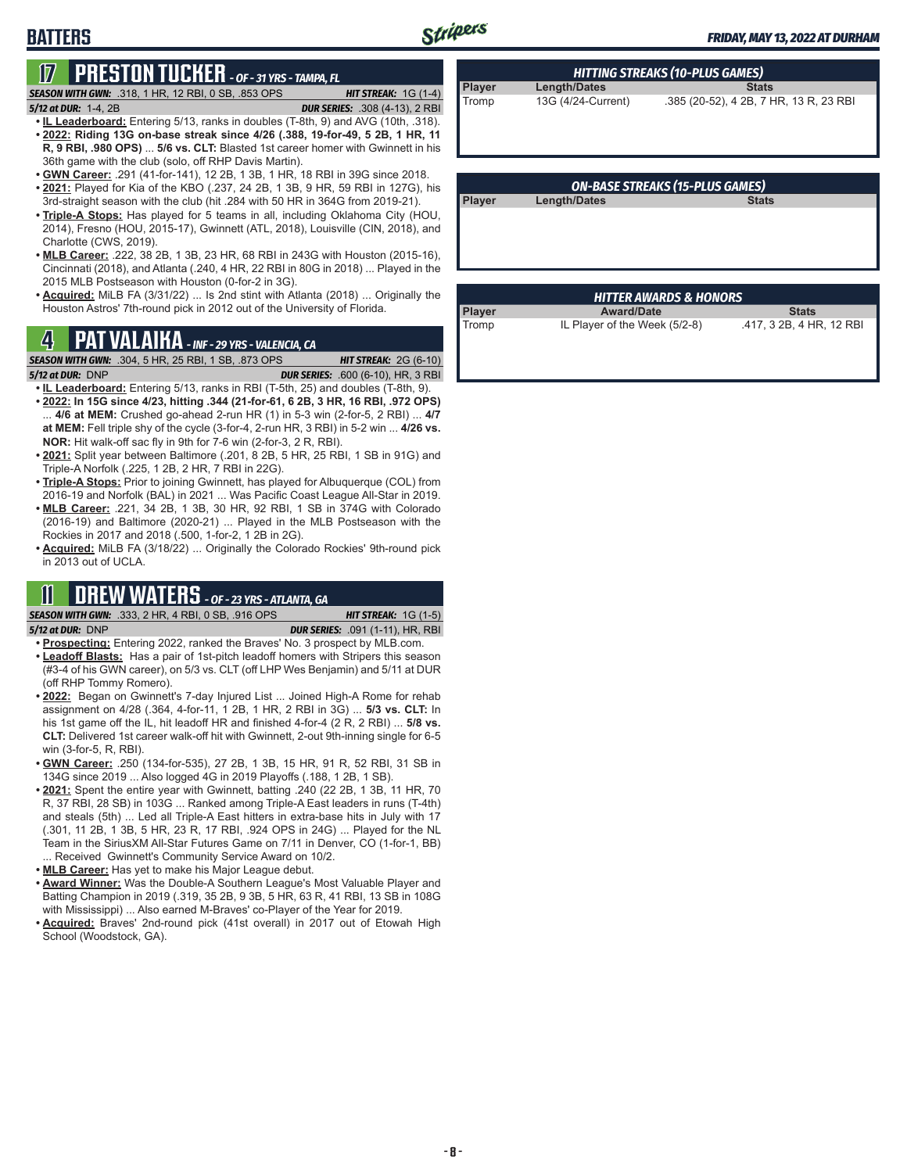# **BATTERS**

# **17 PRESTON TUCKER** *- OF - 31 YRS - TAMPA, FL*

*SEASON WITH GWN:*.318, 1 HR, 12 RBI, 0 SB, .853 OPS *HIT STREAK:* 1G (1-4)

*5/12 at DUR:*1-4, 2B *DUR SERIES:* .308 (4-13), 2 RBI

- **• IL Leaderboard:** Entering 5/13, ranks in doubles (T-8th, 9) and AVG (10th, .318). **• 2022: Riding 13G on-base streak since 4/26 (.388, 19-for-49, 5 2B, 1 HR, 11 R, 9 RBI, .980 OPS)** ... **5/6 vs. CLT:** Blasted 1st career homer with Gwinnett in his 36th game with the club (solo, off RHP Davis Martin).
- **• GWN Career:** .291 (41-for-141), 12 2B, 1 3B, 1 HR, 18 RBI in 39G since 2018.
- **• 2021:** Played for Kia of the KBO (.237, 24 2B, 1 3B, 9 HR, 59 RBI in 127G), his 3rd-straight season with the club (hit .284 with 50 HR in 364G from 2019-21).
- **• Triple-A Stops:** Has played for 5 teams in all, including Oklahoma City (HOU, 2014), Fresno (HOU, 2015-17), Gwinnett (ATL, 2018), Louisville (CIN, 2018), and Charlotte (CWS, 2019).
- **• MLB Career:** .222, 38 2B, 1 3B, 23 HR, 68 RBI in 243G with Houston (2015-16), Cincinnati (2018), and Atlanta (.240, 4 HR, 22 RBI in 80G in 2018) ... Played in the 2015 MLB Postseason with Houston (0-for-2 in 3G).
- **• Acquired:** MiLB FA (3/31/22) ... Is 2nd stint with Atlanta (2018) ... Originally the Houston Astros' 7th-round pick in 2012 out of the University of Florida.

# **4 PAT VALAIKA** *- INF - 29 YRS - VALENCIA, CA*

*SEASON WITH GWN:*.304, 5 HR, 25 RBI, 1 SB, .873 OPS *HIT STREAK:* 2G (6-10)

*5/12 at DUR:*DNP *DUR SERIES:* .600 (6-10), HR, 3 RBI

- **• IL Leaderboard:** Entering 5/13, ranks in RBI (T-5th, 25) and doubles (T-8th, 9). **• 2022: In 15G since 4/23, hitting .344 (21-for-61, 6 2B, 3 HR, 16 RBI, .972 OPS)** ... **4/6 at MEM:** Crushed go-ahead 2-run HR (1) in 5-3 win (2-for-5, 2 RBI) ... **4/7 at MEM:** Fell triple shy of the cycle (3-for-4, 2-run HR, 3 RBI) in 5-2 win ... **4/26 vs. NOR:** Hit walk-off sac fly in 9th for 7-6 win (2-for-3, 2 R, RBI).
- **• 2021:** Split year between Baltimore (.201, 8 2B, 5 HR, 25 RBI, 1 SB in 91G) and Triple-A Norfolk (.225, 1 2B, 2 HR, 7 RBI in 22G).
- **• Triple-A Stops:** Prior to joining Gwinnett, has played for Albuquerque (COL) from 2016-19 and Norfolk (BAL) in 2021 ... Was Pacific Coast League All-Star in 2019.
- **• MLB Career:** .221, 34 2B, 1 3B, 30 HR, 92 RBI, 1 SB in 374G with Colorado (2016-19) and Baltimore (2020-21) ... Played in the MLB Postseason with the Rockies in 2017 and 2018 (.500, 1-for-2, 1 2B in 2G).
- **• Acquired:** MiLB FA (3/18/22) ... Originally the Colorado Rockies' 9th-round pick in 2013 out of UCLA.

## **11 DREW WATERS** *- OF - 23 YRS - ATLANTA, GA*

*SEASON WITH GWN:*.333, 2 HR, 4 RBI, 0 SB, .916 OPS *HIT STREAK:* 1G (1-5) *5/12 at DUR:*DNP *DUR SERIES:* .091 (1-11), HR, RBI

- **• Prospecting:** Entering 2022, ranked the Braves' No. 3 prospect by MLB.com. **• Leadoff Blasts:** Has a pair of 1st-pitch leadoff homers with Stripers this season (#3-4 of his GWN career), on 5/3 vs. CLT (off LHP Wes Benjamin) and 5/11 at DUR (off RHP Tommy Romero).
- **• 2022:** Began on Gwinnett's 7-day Injured List ... Joined High-A Rome for rehab assignment on 4/28 (.364, 4-for-11, 1 2B, 1 HR, 2 RBI in 3G) ... **5/3 vs. CLT:** In his 1st game off the IL, hit leadoff HR and finished 4-for-4 (2 R, 2 RBI) ... **5/8 vs. CLT:** Delivered 1st career walk-off hit with Gwinnett, 2-out 9th-inning single for 6-5 win (3-for-5, R, RBI).
- **• GWN Career:** .250 (134-for-535), 27 2B, 1 3B, 15 HR, 91 R, 52 RBI, 31 SB in 134G since 2019 ... Also logged 4G in 2019 Playoffs (.188, 1 2B, 1 SB).
- **• 2021:** Spent the entire year with Gwinnett, batting .240 (22 2B, 1 3B, 11 HR, 70 R, 37 RBI, 28 SB) in 103G ... Ranked among Triple-A East leaders in runs (T-4th) and steals (5th) ... Led all Triple-A East hitters in extra-base hits in July with 17 (.301, 11 2B, 1 3B, 5 HR, 23 R, 17 RBI, .924 OPS in 24G) ... Played for the NL Team in the SiriusXM All-Star Futures Game on 7/11 in Denver, CO (1-for-1, BB) ... Received Gwinnett's Community Service Award on 10/2.
- **• MLB Career:** Has yet to make his Major League debut.
- **• Award Winner:** Was the Double-A Southern League's Most Valuable Player and Batting Champion in 2019 (.319, 35 2B, 9 3B, 5 HR, 63 R, 41 RBI, 13 SB in 108G with Mississippi) ... Also earned M-Braves' co-Player of the Year for 2019.
- **• Acquired:** Braves' 2nd-round pick (41st overall) in 2017 out of Etowah High School (Woodstock, GA).

| HITTING STREAKS (10-PLUS GAMES) |                     |                                        |  |  |  |
|---------------------------------|---------------------|----------------------------------------|--|--|--|
| Player                          | <b>Length/Dates</b> | <b>Stats</b>                           |  |  |  |
| Tromp                           | 13G (4/24-Current)  | .385 (20-52), 4 2B, 7 HR, 13 R, 23 RBI |  |  |  |

| <b>ON-BASE STREAKS (15-PLUS GAMES)</b> |                     |              |  |  |  |  |
|----------------------------------------|---------------------|--------------|--|--|--|--|
| <b>Player</b>                          | <b>Length/Dates</b> | <b>Stats</b> |  |  |  |  |
|                                        |                     |              |  |  |  |  |
|                                        |                     |              |  |  |  |  |
|                                        |                     |              |  |  |  |  |

| <b>HITTER AWARDS &amp; HONORS</b> |                               |                          |  |  |  |  |  |
|-----------------------------------|-------------------------------|--------------------------|--|--|--|--|--|
| Player                            | <b>Award/Date</b>             | <b>Stats</b>             |  |  |  |  |  |
| Tromp                             | IL Player of the Week (5/2-8) | .417, 3 2B, 4 HR, 12 RBI |  |  |  |  |  |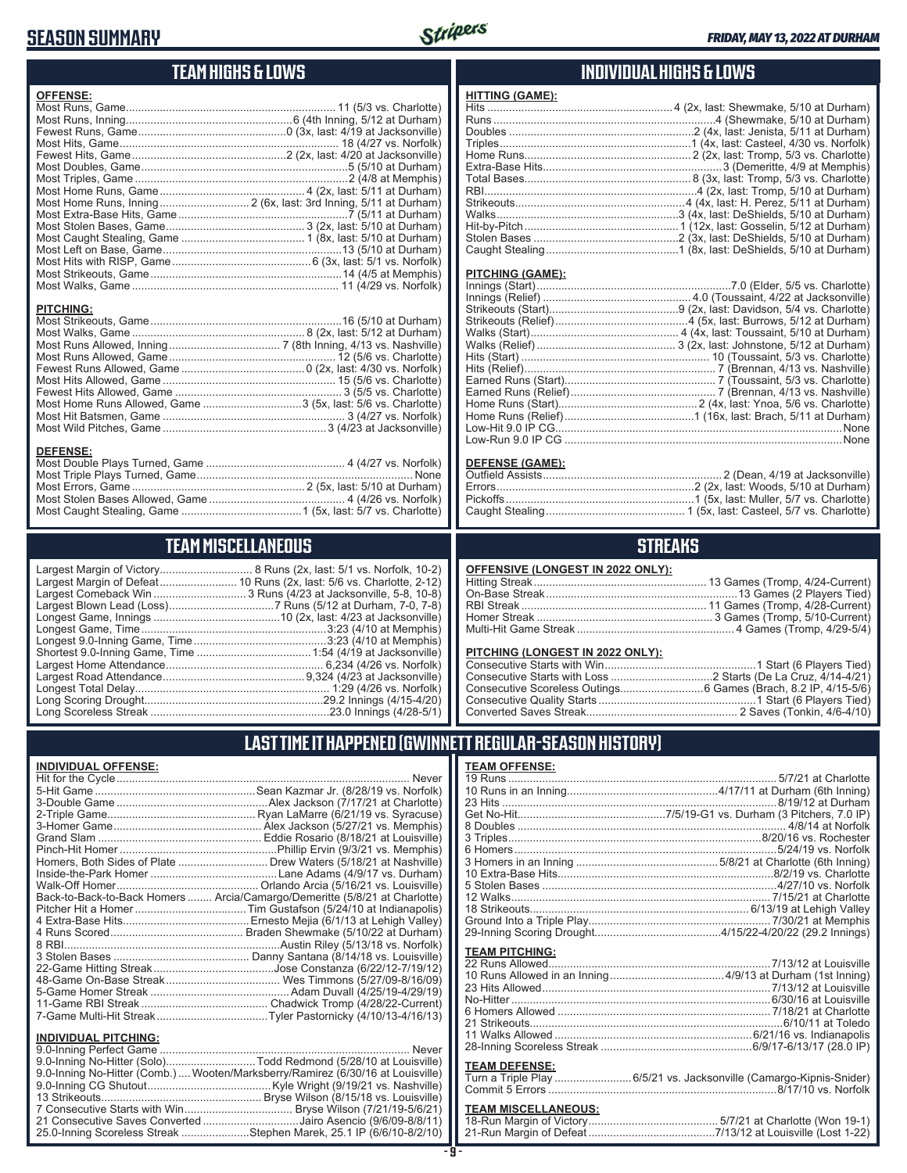### **SEASON SUMMARY**



### **TEAM HIGHS & LOWS**

| <b>OFFENSE:</b> |  |
|-----------------|--|
|                 |  |
|                 |  |
|                 |  |
|                 |  |
|                 |  |
|                 |  |
|                 |  |
|                 |  |
|                 |  |
|                 |  |
|                 |  |
|                 |  |
|                 |  |
|                 |  |
|                 |  |
|                 |  |
| DITCUINC.       |  |

#### **PITCHING:**

#### **DEFENSE:**

### **TEAM MISCELLANEOUS**

Largest Margin of Victory.............................. 8 Runs (2x, last: 5/1 vs. Norfolk, 10-2) .............. 10 Runs (2x, last: 5/6 vs. Charlotte, 2-12) Largest Comeback Win .............................. 3 Runs (4/23 at Jacksonville, 5-8, 10-8) Largest Blown Lead (Loss) ..................................7 Runs (5/12 at Durham, 7-0, 7-8) Longest Game, Innings .........................................10 (2x, last: 4/23 at Jacksonville) Longest Game, Time ............................................................3:23 (4/10 at Memphis) Longest 9.0-Inning Game, Time ...........................................3:23 (4/10 at Memphis) Shortest 9.0-Inning Game, Time .....................................1:54 (4/19 at Jacksonville) Largest Home Attendance ................................................... 6,234 (4/26 vs. Norfolk) Largest Road Attendance ..............................................9,324 (4/23 at Jacksonville) Longest Total Delay............................................................... 1:29 (4/26 vs. Norfolk) Long Scoring Drought..........................................................29.2 Innings (4/15-4/20) Long Scoreless Streak ..........................................................23.0 Innings (4/28-5/1)

### **INDIVIDUAL HIGHS & LOWS**

| <b>HITTING (GAME):</b> |  |
|------------------------|--|
|                        |  |
|                        |  |
|                        |  |
|                        |  |
|                        |  |
|                        |  |
|                        |  |
|                        |  |
|                        |  |
|                        |  |
|                        |  |
|                        |  |
|                        |  |

#### **PITCHING (GAME):**

#### **DEFENSE (GAME):**

### **STREAKS**

#### **PITCHING (LONGEST IN 2022 ONLY):**

### **LAST TIME IT HAPPENED (GWINNETT REGULAR-SEASON HISTORY)**

#### **INDIVIDUAL OFFENSE:**

|                                                                                                                               | Homers, Both Sides of Plate  Drew Waters (5/18/21 at Nashville)            |
|-------------------------------------------------------------------------------------------------------------------------------|----------------------------------------------------------------------------|
|                                                                                                                               |                                                                            |
|                                                                                                                               |                                                                            |
|                                                                                                                               | Back-to-Back-to-Back Homers  Arcia/Camargo/Demeritte (5/8/21 at Charlotte) |
|                                                                                                                               |                                                                            |
|                                                                                                                               |                                                                            |
|                                                                                                                               |                                                                            |
|                                                                                                                               |                                                                            |
|                                                                                                                               |                                                                            |
|                                                                                                                               |                                                                            |
|                                                                                                                               |                                                                            |
|                                                                                                                               |                                                                            |
|                                                                                                                               |                                                                            |
|                                                                                                                               |                                                                            |
| <b>INDIVIDUAL PITCHING:</b>                                                                                                   |                                                                            |
| $\bigcap_{i=1}^n A_i$ and $\bigcap_{i=1}^n A_i$ and $\bigcap_{i=1}^n A_i$ and $\bigcap_{i=1}^n A_i$ and $\bigcap_{i=1}^n A_i$ | $k + 1 - 1 - 1$                                                            |

| 9.0-Inning No-Hitter (Solo)Todd Redmond (5/28/10 at Louisville)                 |  |
|---------------------------------------------------------------------------------|--|
| 9.0-Inning No-Hitter (Comb.)  Wooten/Marksberry/Ramirez (6/30/16 at Louisville) |  |
|                                                                                 |  |
|                                                                                 |  |
|                                                                                 |  |
| 21 Consecutive Saves Converted Jairo Asencio (9/6/09-8/8/11)                    |  |
| 25.0-Inning Scoreless Streak Stephen Marek, 25.1 IP (6/6/10-8/2/10)             |  |
|                                                                                 |  |

#### **TEAM OFFENSE:**

| <b>TEAM PITCHING:</b>                                                                       |  |
|---------------------------------------------------------------------------------------------|--|
|                                                                                             |  |
|                                                                                             |  |
| <b>TEAM DEFENSE:</b><br>Turn a Triple Play  6/5/21 vs. Jacksonville (Camargo-Kipnis-Snider) |  |
|                                                                                             |  |

#### **TEAM MISCELLANEOUS:** 18-Run Margin of Victory .......................................... 5/7/21 at Charlotte (Won 19-1) 21-Run Margin of Defeat .........................................7/13/12 at Louisville (Lost 1-22)